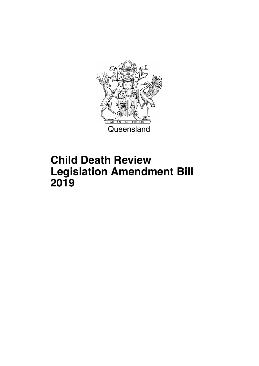

## **Child Death Review Legislation Amendment Bill 2019**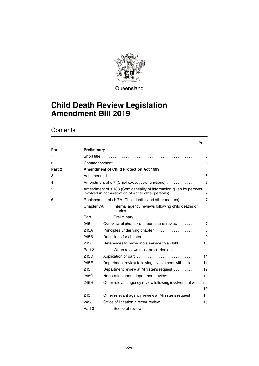

**Queensland** 

### **Child Death Review Legislation Amendment Bill 2019**

### **Contents**

#### Page **[Part 1](#page-7-0) [Preliminary](#page-7-1)** [1](#page-7-2) [Short title . . . . . . . . . . . . . . . . . . . . . . . . . . . . . . . . . . . . . . . . . . . 6](#page-7-3) [2](#page-7-4) [Commencement . . . . . . . . . . . . . . . . . . . . . . . . . . . . . . . . . . . . . 6](#page-7-5) **[Part 2](#page-7-6) [Amendment of Child Protection Act 1999](#page-7-7)** [3](#page-7-8) [Act amended . . . . . . . . . . . . . . . . . . . . . . . . . . . . . . . . . . . . . . . . 6](#page-7-9) [4](#page-7-10) [Amendment of s 7 \(Chief executive's functions\) . . . . . . . . . . . . . 6](#page-7-11) [5](#page-8-0) [Amendment of s 188 \(Confidentiality of information given by persons](#page-8-1)  [involved in administration of Act to other persons\) . . . . . . . . . . . 7](#page-8-1) [6](#page-8-2) [Replacement of ch 7A \(Child deaths and other matters\) . . . . . . 7](#page-8-3) [Chapter 7A](#page-8-4) [Internal agency reviews following child deaths or](#page-8-5)  [injuries](#page-8-5) [Part 1](#page-8-6) [Preliminary](#page-8-7) [245](#page-8-8) Overview of chapter and purpose of reviews ...... 7 [245A](#page-9-0) [Principles underlying chapter . . . . . . . . . . . . . . . . . . 8](#page-9-1) [245B](#page-10-0) [Definitions for chapter . . . . . . . . . . . . . . . . . . . . . . . . 9](#page-10-1) [245C](#page-11-0) References to providing a service to a child . . . . . . . . . 10 [Part 2](#page-12-0) [When reviews must be carried out](#page-12-1) [245D](#page-12-2) [Application of part . . . . . . . . . . . . . . . . . . . . . . . . . . . 11](#page-12-3) [245E](#page-12-4) [Department review following involvement with child . 11](#page-12-5) [245F](#page-13-0) [Department review at Minister's request . . . . . . . . . . 12](#page-13-1) [245G](#page-13-2) [Notification about department review . . . . . . . . . . . . 12](#page-13-3) [245H](#page-14-0) [Other relevant agency review following involvement with child](#page-14-1) . . . . . . . . . . . . . . . . . . . . . . . . . . . . . . . . . . . . . . . . . 13 [245I](#page-15-0) [Other relevant agency review at Minister's request . 14](#page-15-1) [245J](#page-16-0) [Office of litigation director review . . . . . . . . . . . . . . . 15](#page-16-1) [Part 3](#page-16-2) [Scope of reviews](#page-16-3)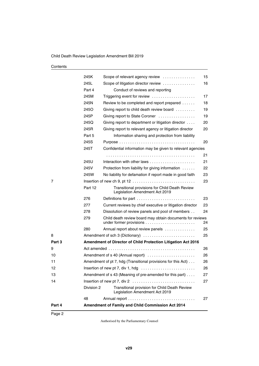| Contents |  |
|----------|--|
|----------|--|

| Part 4 |            | Amendment of Family and Child Commission Act 2014                               |    |
|--------|------------|---------------------------------------------------------------------------------|----|
|        | 48         |                                                                                 | 27 |
|        | Division 2 | Transitional provision for Child Death Review<br>Legislation Amendment Act 2019 |    |
| 14     |            |                                                                                 | 27 |
| 13     |            | Amendment of s 43 (Meaning of pre-amended for this part)                        | 27 |
| 12     |            | Insertion of new pt 7, div 1, hdg                                               | 26 |
| 11     |            | Amendment of pt 7, hdg (Transitional provisions for this Act)                   | 26 |
| 10     |            | Amendment of s 40 (Annual report)                                               | 26 |
| 9      |            |                                                                                 | 26 |
| Part 3 |            | Amendment of Director of Child Protection Litigation Act 2016                   |    |
| 8      |            | Amendment of sch 3 (Dictionary)                                                 | 25 |
|        | 280        | Annual report about review panels                                               | 25 |
|        | 279        | Child death review board may obtain documents for reviews                       | 24 |
|        | 278        | Dissolution of review panels and pool of members                                | 24 |
|        | 277        | Current reviews by chief executive or litigation director                       | 23 |
|        | 276        | Definitions for part                                                            | 23 |
|        |            | Legislation Amendment Act 2019                                                  |    |
|        | Part 12    | Transitional provisions for Child Death Review                                  |    |
| 7      |            |                                                                                 | 23 |
|        | 245W       | No liability for defamation if report made in good faith                        | 23 |
|        | 245V       | Protection from liability for giving information                                | 22 |
|        | 245U       | Interaction with other laws                                                     | 21 |
|        |            |                                                                                 | 21 |
|        | 245T       | Confidential information may be given to relevant agencies                      |    |
|        | 245S       |                                                                                 | 20 |
|        | Part 5     | Information sharing and protection from liability                               |    |
|        | 245R       | Giving report to relevant agency or litigation director                         | 20 |
|        | 245Q       | Giving report to department or litigation director                              | 20 |
|        | 245P       | Giving report to State Coroner                                                  | 19 |
|        | 245O       | Giving report to child death review board $\ldots \ldots \ldots$                | 19 |
|        | 245N       | Review to be completed and report prepared                                      | 18 |
|        | 245M       | Triggering event for review                                                     | 17 |
|        | Part 4     | Conduct of reviews and reporting                                                |    |
|        | 245L       | Scope of litigation director review                                             | 16 |
|        | 245K       | Scope of relevant agency review                                                 | 15 |
|        |            |                                                                                 |    |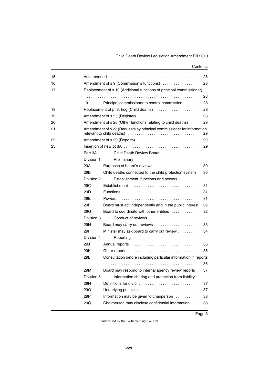#### **Contents**

| 15<br>16 |            | Amendment of s 9 (Commission's functions)                             | 28<br>28 |
|----------|------------|-----------------------------------------------------------------------|----------|
| 17       |            | Replacement of s 19 (Additional functions of principal commissioner)  |          |
|          |            |                                                                       | 28       |
|          | 19         | Principal commissioner to control commission                          | 28       |
| 18       |            | Replacement of pt 3, hdg (Child deaths)                               | 28       |
| 19       |            | Amendment of s 25 (Register)                                          | 28       |
| 20       |            | Amendment of s 26 (Other functions relating to child deaths).         | 29       |
| 21       |            | Amendment of s 27 (Requests by principal commissioner for information | 29       |
| 22       |            | Amendment of s 29 (Reports)                                           | 29       |
| 23       |            |                                                                       | 29       |
|          | Part 3A    | <b>Child Death Review Board</b>                                       |          |
|          | Division 1 | Preliminary                                                           |          |
|          | 29A        | Purposes of board's reviews                                           | 30       |
|          | 29B        | Child deaths connected to the child protection system                 | 30       |
|          | Division 2 | Establishment, functions and powers                                   |          |
|          | 29C        | Establishment                                                         | 31       |
|          | 29D        |                                                                       | 31       |
|          | 29E        |                                                                       | 31       |
|          | 29F        | Board must act independently and in the public interest               | 32       |
|          | 29G        | Board to coordinate with other entities $\ldots \ldots \ldots$        | 32       |
|          | Division 3 | Conduct of reviews                                                    |          |
|          | 29H        |                                                                       | 33       |
|          | 291        | Minister may ask board to carry out review                            | 34       |
|          | Division 4 | Reporting                                                             |          |
|          | 29J        |                                                                       | 35       |
|          | 29K        |                                                                       | 35       |
|          | 29L        | Consultation before including particular information in reports       |          |
|          |            |                                                                       | 36       |
|          | 29M        | Board may respond to internal agency review reports                   | 37       |
|          | Division 5 | Information sharing and protection from liability                     |          |
|          | 29N        | Definitions for div 5                                                 | 37       |
|          | <b>29O</b> |                                                                       | 37       |
|          | 29P        | Information may be given to chairperson                               | 38       |
|          | 29Q        | Chairperson may disclose confidential information                     | 38       |
|          |            |                                                                       |          |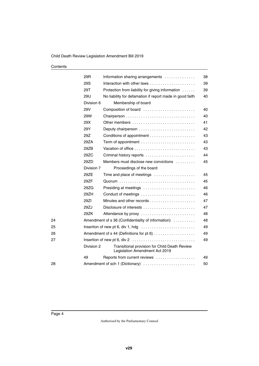| Contents |
|----------|
|----------|

|    | 29R        | Information sharing arrangements                                                | 38 |
|----|------------|---------------------------------------------------------------------------------|----|
|    | 29S        | Interaction with other laws                                                     | 39 |
|    | 29T        | Protection from liability for giving information                                | 39 |
|    | 29U        | No liability for defamation if report made in good faith                        | 40 |
|    | Division 6 | Membership of board                                                             |    |
|    | 29V        | Composition of board                                                            | 40 |
|    | 29W        |                                                                                 | 40 |
|    | 29X        | Other members                                                                   | 41 |
|    | 29Y        | Deputy chairperson                                                              | 42 |
|    | 29Z        |                                                                                 | 43 |
|    | 29ZA       |                                                                                 | 43 |
|    | 29ZB       | Vacation of office                                                              | 43 |
|    | 29ZC       | Criminal history reports                                                        | 44 |
|    | 29ZD       | Members must disclose new convictions                                           | 45 |
|    | Division 7 | Proceedings of the board                                                        |    |
|    | 29ZE       | Time and place of meetings                                                      | 45 |
|    | 29ZF       |                                                                                 | 45 |
|    | 29ZG       | Presiding at meetings                                                           | 46 |
|    | 29ZH       | Conduct of meetings                                                             | 46 |
|    | 29ZI       |                                                                                 | 47 |
|    | 29ZJ       |                                                                                 | 47 |
|    | 29ZK       | Attendance by proxy                                                             | 48 |
| 24 |            | Amendment of s 36 (Confidentiality of information)                              | 48 |
| 25 |            | Insertion of new pt 6, div 1, hdg                                               | 49 |
| 26 |            | Amendment of s 44 (Definitions for pt 6)                                        | 49 |
| 27 |            |                                                                                 | 49 |
|    | Division 2 | Transitional provision for Child Death Review<br>Legislation Amendment Act 2019 |    |
|    | 49         | Reports from current reviews                                                    | 49 |
| 28 |            | Amendment of sch 1 (Dictionary)                                                 | 50 |
|    |            |                                                                                 |    |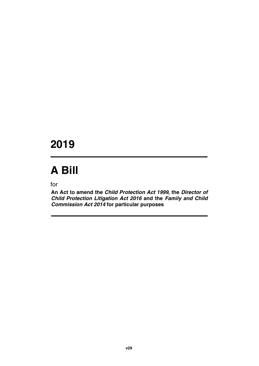## **2019**

# **A Bill**

for

**An Act to amend the** *Child Protection Act 1999***, the** *Director of Child Protection Litigation Act 2016* **and the** *Family and Child Commission Act 2014* **for particular purposes**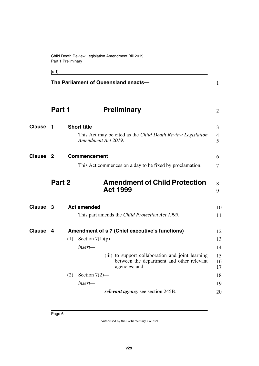<span id="page-7-7"></span><span id="page-7-5"></span><span id="page-7-3"></span><span id="page-7-1"></span><span id="page-7-0"></span>[s 1]

<span id="page-7-11"></span><span id="page-7-10"></span><span id="page-7-9"></span><span id="page-7-8"></span><span id="page-7-6"></span><span id="page-7-4"></span><span id="page-7-2"></span>

|                     |        | The Parliament of Queensland enacts-<br>$\mathbf{1}$                                                                                                                                                                                                                            |  |
|---------------------|--------|---------------------------------------------------------------------------------------------------------------------------------------------------------------------------------------------------------------------------------------------------------------------------------|--|
|                     | Part 1 | <b>Preliminary</b><br>2                                                                                                                                                                                                                                                         |  |
| <b>Clause</b>       | 1      | <b>Short title</b><br>3<br>This Act may be cited as the Child Death Review Legislation<br>$\overline{4}$<br>5<br>Amendment Act 2019.                                                                                                                                            |  |
| Clause <sub>2</sub> |        | <b>Commencement</b><br>6<br>This Act commences on a day to be fixed by proclamation.<br>7                                                                                                                                                                                       |  |
|                     | Part 2 | <b>Amendment of Child Protection</b><br>8<br><b>Act 1999</b><br>9                                                                                                                                                                                                               |  |
| <b>Clause</b>       | 3      | <b>Act amended</b><br>10<br>This part amends the Child Protection Act 1999.<br>11                                                                                                                                                                                               |  |
| <b>Clause</b>       | 4      | Amendment of s 7 (Chief executive's functions)<br>12<br>Section $7(1)(p)$ —<br>(1)<br>13<br>insert—<br>14<br>(iii) to support collaboration and joint learning<br>15<br>between the department and other relevant<br>16<br>agencies; and<br>17<br>(2)<br>Section $7(2)$ —<br>18 |  |
|                     |        | insert—<br>19<br>relevant agency see section 245B.<br>20                                                                                                                                                                                                                        |  |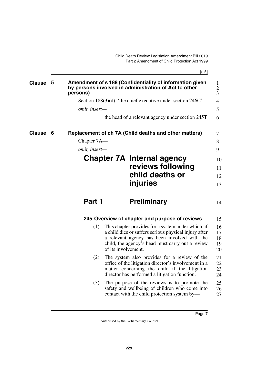<span id="page-8-7"></span><span id="page-8-5"></span>[s 5]

<span id="page-8-9"></span><span id="page-8-8"></span><span id="page-8-6"></span><span id="page-8-4"></span><span id="page-8-3"></span><span id="page-8-2"></span><span id="page-8-1"></span><span id="page-8-0"></span>

| <b>Clause</b> | 5 | persons)      | Amendment of s 188 (Confidentiality of information given<br>by persons involved in administration of Act to other                                                                                                                      | $\mathbf{1}$<br>$\mathbf{2}$<br>3 |
|---------------|---|---------------|----------------------------------------------------------------------------------------------------------------------------------------------------------------------------------------------------------------------------------------|-----------------------------------|
|               |   |               | Section 188(3)(d), 'the chief executive under section $246C'$ —                                                                                                                                                                        | 4                                 |
|               |   | omit, insert- |                                                                                                                                                                                                                                        | 5                                 |
|               |   |               | the head of a relevant agency under section 245T                                                                                                                                                                                       | 6                                 |
| <b>Clause</b> | 6 |               | Replacement of ch 7A (Child deaths and other matters)                                                                                                                                                                                  | 7                                 |
|               |   | Chapter 7A—   |                                                                                                                                                                                                                                        | 8                                 |
|               |   | omit, insert- |                                                                                                                                                                                                                                        | 9                                 |
|               |   |               | <b>Chapter 7A Internal agency</b>                                                                                                                                                                                                      | 10                                |
|               |   |               | reviews following                                                                                                                                                                                                                      | 11                                |
|               |   |               | child deaths or                                                                                                                                                                                                                        | 12                                |
|               |   |               | <b>injuries</b>                                                                                                                                                                                                                        | 13                                |
|               |   | Part 1        | <b>Preliminary</b>                                                                                                                                                                                                                     | 14                                |
|               |   |               | 245 Overview of chapter and purpose of reviews                                                                                                                                                                                         | 15                                |
|               |   | (1)           | This chapter provides for a system under which, if<br>a child dies or suffers serious physical injury after<br>a relevant agency has been involved with the<br>child, the agency's head must carry out a review<br>of its involvement. | 16<br>17<br>18<br>19<br>20        |
|               |   | (2)           | The system also provides for a review of the<br>office of the litigation director's involvement in a<br>matter concerning the child if the litigation<br>director has performed a litigation function.                                 | 21<br>22<br>23<br>24              |
|               |   | (3)           | The purpose of the reviews is to promote the<br>safety and wellbeing of children who come into<br>contact with the child protection system by—                                                                                         | 25<br>26<br>27                    |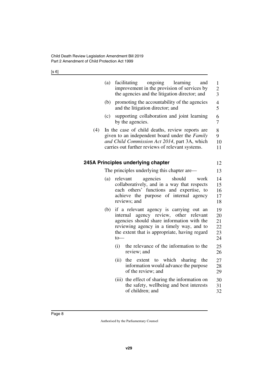<span id="page-9-1"></span><span id="page-9-0"></span>

|     | (a) | facilitating             | ongoing<br>improvement in the provision of services by<br>the agencies and the litigation director; and                                                                                                    | learning | and            | $\mathbf{1}$<br>$\overline{c}$<br>$\overline{\mathbf{3}}$ |
|-----|-----|--------------------------|------------------------------------------------------------------------------------------------------------------------------------------------------------------------------------------------------------|----------|----------------|-----------------------------------------------------------|
|     | (b) |                          | promoting the accountability of the agencies<br>and the litigation director; and                                                                                                                           |          |                | $\overline{\mathcal{L}}$<br>5                             |
|     | (c) | by the agencies.         | supporting collaboration and joint learning                                                                                                                                                                |          |                | 6<br>7                                                    |
| (4) |     |                          | In the case of child deaths, review reports are<br>given to an independent board under the Family<br>and Child Commission Act 2014, part 3A, which<br>carries out further reviews of relevant systems.     |          |                | 8<br>9<br>10<br>11                                        |
|     |     |                          | 245A Principles underlying chapter                                                                                                                                                                         |          |                | 12                                                        |
|     |     |                          | The principles underlying this chapter are—                                                                                                                                                                |          |                | 13                                                        |
|     | (a) | relevant<br>reviews; and | agencies<br>collaboratively, and in a way that respects<br>each others' functions and expertise, to<br>achieve the purpose of internal                                                                     | should   | work<br>agency | 14<br>15<br>16<br>17<br>18                                |
|     | (b) | internal<br>to           | if a relevant agency is carrying out an<br>agency review, other<br>agencies should share information with the<br>reviewing agency in a timely way, and to<br>the extent that is appropriate, having regard |          | relevant       | 19<br>20<br>21<br>22<br>23<br>24                          |
|     |     | (i)<br>review; and       | the relevance of the information to the                                                                                                                                                                    |          |                | 25<br>26                                                  |
|     |     | (ii)                     | the extent to which<br>information would advance the purpose<br>of the review; and                                                                                                                         | sharing  | the            | 27<br>28<br>29                                            |
|     |     |                          | (iii) the effect of sharing the information on<br>the safety, wellbeing and best interests<br>of children; and                                                                                             |          |                | 30<br>31<br>32                                            |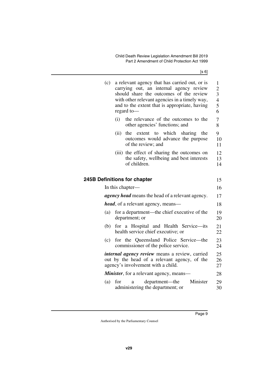| (c) | a relevant agency that has carried out, or is<br>carrying out, an internal agency review<br>should share the outcomes of the review<br>with other relevant agencies in a timely way,<br>and to the extent that is appropriate, having<br>regard to- | 1<br>$\overline{c}$<br>3<br>$\overline{4}$<br>5<br>6 |
|-----|-----------------------------------------------------------------------------------------------------------------------------------------------------------------------------------------------------------------------------------------------------|------------------------------------------------------|
|     | (i)<br>the relevance of the outcomes to the<br>other agencies' functions; and                                                                                                                                                                       | $\overline{7}$<br>8                                  |
|     | to which<br>sharing<br>(ii)<br>the<br>extent<br>the<br>outcomes would advance the purpose<br>of the review; and                                                                                                                                     | 9<br>10<br>11                                        |
|     | (iii) the effect of sharing the outcomes on<br>the safety, wellbeing and best interests<br>of children.                                                                                                                                             | 12<br>13<br>14                                       |
|     | <b>Definitions for chapter</b>                                                                                                                                                                                                                      | 15                                                   |
|     | In this chapter-                                                                                                                                                                                                                                    | 16                                                   |
|     | <i>agency head</i> means the head of a relevant agency.                                                                                                                                                                                             | 17                                                   |
|     | <i>head</i> , of a relevant agency, means-                                                                                                                                                                                                          | 18                                                   |
| (a) | for a department—the chief executive of the<br>department; or                                                                                                                                                                                       | 19<br>20                                             |
| (b) | for a Hospital and Health Service-its<br>health service chief executive; or                                                                                                                                                                         | 21<br>22                                             |
| (c) | for the Queensland Police Service—the<br>commissioner of the police service.                                                                                                                                                                        | 23<br>24                                             |
|     | <i>internal agency review</i> means a review, carried<br>out by the head of a relevant agency, of the<br>agency's involvement with a child.                                                                                                         | 25<br>26<br>27                                       |
|     | <b>Minister</b> , for a relevant agency, means—                                                                                                                                                                                                     | 28                                                   |
| (a) | Minister<br>for<br>department—the<br>a<br>administering the department; or                                                                                                                                                                          | 29<br>30                                             |
|     |                                                                                                                                                                                                                                                     |                                                      |

<span id="page-10-1"></span><span id="page-10-0"></span>**245B Definitions for chapter**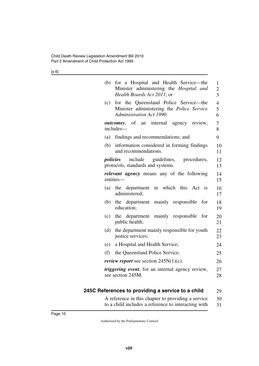| (b) | for a Hospital and Health Service-the<br>Minister administering the Hospital and<br>Health Boards Act 2011; or | $\mathbf{1}$<br>$\overline{2}$<br>3 |
|-----|----------------------------------------------------------------------------------------------------------------|-------------------------------------|
| (c) | for the Queensland Police Service—the<br>Minister administering the Police Service<br>Administration Act 1990. | $\overline{4}$<br>5<br>6            |
|     | <i>outcomes</i> , of an internal agency review,<br>includes—                                                   | 7<br>8                              |
| (a) | findings and recommendations; and                                                                              | 9                                   |
| (b) | information considered in forming findings<br>and recommendations.                                             | 10<br>11                            |
|     | <i>policies</i> include guidelines, procedures,<br>protocols, standards and systems.                           | 12<br>13                            |
|     | <i>relevant agency</i> means any of the following<br>entities-                                                 | 14<br>15                            |
| (a) | the department in which this Act<br>$\overline{1}$<br>administered;                                            | 16<br>17                            |
| (b) | the department mainly responsible<br>for<br>education;                                                         | 18<br>19                            |
| (c) | the department mainly responsible<br>for<br>public health;                                                     | 20<br>21                            |
| (d) | the department mainly responsible for youth<br>justice services;                                               | 22<br>23                            |
| (e) | a Hospital and Health Service;                                                                                 | 24                                  |
| (f) | the Queensland Police Service.                                                                                 | 25                                  |
|     | <i>review report</i> see section $245N(1)(c)$ .                                                                | 26                                  |
|     | <i>triggering event</i> , for an internal agency review,<br>see section 245M.                                  | 27<br>28                            |

#### <span id="page-11-0"></span>**245C References to providing a service to a child** 29

<span id="page-11-1"></span>A reference in this chapter to providing a service to a child includes a reference to interacting with 30 31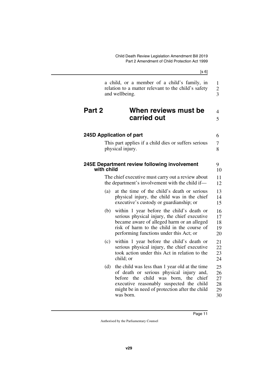<span id="page-12-5"></span><span id="page-12-4"></span><span id="page-12-3"></span><span id="page-12-2"></span><span id="page-12-1"></span><span id="page-12-0"></span>

|            | [s 6]                                                                                                                                                                                                                                               |                                  |
|------------|-----------------------------------------------------------------------------------------------------------------------------------------------------------------------------------------------------------------------------------------------------|----------------------------------|
|            | a child, or a member of a child's family, in<br>relation to a matter relevant to the child's safety<br>and wellbeing.                                                                                                                               | 1<br>$\frac{2}{3}$               |
| Part 2     | When reviews must be<br>carried out                                                                                                                                                                                                                 | 4<br>5                           |
|            | 245D Application of part                                                                                                                                                                                                                            | 6                                |
|            | This part applies if a child dies or suffers serious<br>physical injury.                                                                                                                                                                            | 7<br>8                           |
| with child | 245E Department review following involvement                                                                                                                                                                                                        | 9<br>10                          |
|            | The chief executive must carry out a review about<br>the department's involvement with the child if—                                                                                                                                                | 11<br>12                         |
| (a)        | at the time of the child's death or serious<br>physical injury, the child was in the chief<br>executive's custody or guardianship; or                                                                                                               | 13<br>14<br>15                   |
| (b)        | within 1 year before the child's death or<br>serious physical injury, the chief executive<br>became aware of alleged harm or an alleged<br>risk of harm to the child in the course of<br>performing functions under this Act; or                    | 16<br>17<br>18<br>19<br>20       |
| (c)        | within 1 year before the child's death or<br>serious physical injury, the chief executive<br>took action under this Act in relation to the<br>child; or                                                                                             | 21<br>22<br>23<br>24             |
| (d)        | the child was less than 1 year old at the time<br>of death or serious physical injury and,<br>child was born, the<br>before the<br>chief<br>executive reasonably suspected the child<br>might be in need of protection after the child<br>was born. | 25<br>26<br>27<br>28<br>29<br>30 |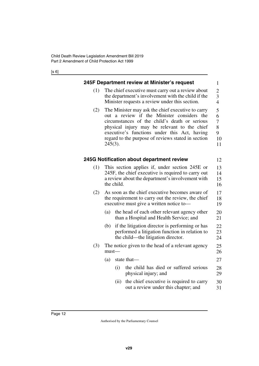<span id="page-13-3"></span><span id="page-13-2"></span><span id="page-13-1"></span><span id="page-13-0"></span>

|     | 245F Department review at Minister's request                                                                                                                                                                                                                                                                         | $\mathbf{1}$                                       |  |
|-----|----------------------------------------------------------------------------------------------------------------------------------------------------------------------------------------------------------------------------------------------------------------------------------------------------------------------|----------------------------------------------------|--|
| (1) | The chief executive must carry out a review about<br>the department's involvement with the child if the<br>Minister requests a review under this section.                                                                                                                                                            | $\overline{2}$<br>$\overline{3}$<br>$\overline{4}$ |  |
| (2) | The Minister may ask the chief executive to carry<br>out a review if the Minister considers the<br>circumstances of the child's death or serious<br>physical injury may be relevant to the chief<br>executive's functions under this Act, having<br>regard to the purpose of reviews stated in section<br>$245(3)$ . | 5<br>6<br>7<br>8<br>9<br>10<br>11                  |  |
|     | 245G Notification about department review                                                                                                                                                                                                                                                                            | 12                                                 |  |
| (1) | This section applies if, under section 245E or<br>245F, the chief executive is required to carry out<br>a review about the department's involvement with<br>the child.                                                                                                                                               |                                                    |  |
| (2) | As soon as the chief executive becomes aware of<br>the requirement to carry out the review, the chief<br>executive must give a written notice to-                                                                                                                                                                    | 17<br>18<br>19                                     |  |
|     | (a)<br>the head of each other relevant agency other<br>than a Hospital and Health Service; and                                                                                                                                                                                                                       | 20<br>21                                           |  |
|     | if the litigation director is performing or has<br>(b)<br>performed a litigation function in relation to<br>the child—the litigation director.                                                                                                                                                                       | 22<br>23<br>24                                     |  |
| (3) | The notice given to the head of a relevant agency<br>$must$ —                                                                                                                                                                                                                                                        | 25<br>26                                           |  |
|     | (a)<br>state that-                                                                                                                                                                                                                                                                                                   | 27                                                 |  |
|     | the child has died or suffered serious<br>(i)<br>physical injury; and                                                                                                                                                                                                                                                | 28<br>29                                           |  |
|     | the chief executive is required to carry<br>(ii)<br>out a review under this chapter; and                                                                                                                                                                                                                             | 30<br>31                                           |  |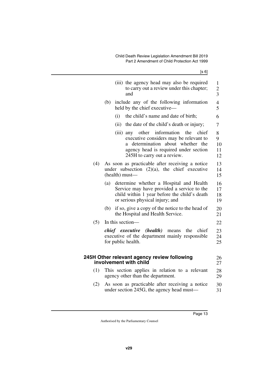<span id="page-14-1"></span><span id="page-14-0"></span>

|     | (iii) the agency head may also be required<br>to carry out a review under this chapter;<br>and                                                                                                            | $\mathbf{1}$<br>$\overline{c}$<br>$\overline{3}$ |
|-----|-----------------------------------------------------------------------------------------------------------------------------------------------------------------------------------------------------------|--------------------------------------------------|
|     | include any of the following information<br>(b)<br>held by the chief executive-                                                                                                                           | $\overline{4}$<br>5                              |
|     | the child's name and date of birth;<br>(i)                                                                                                                                                                | 6                                                |
|     | (ii) the date of the child's death or injury;                                                                                                                                                             | 7                                                |
|     | (iii) any other information<br>the<br>chief<br>executive considers may be relevant to<br>about whether the<br>determination<br>a.<br>agency head is required under section<br>245H to carry out a review. | 8<br>9<br>10<br>11<br>12                         |
| (4) | As soon as practicable after receiving a notice<br>under subsection $(2)(a)$ , the chief executive<br>(health) must-                                                                                      | 13<br>14<br>15                                   |
|     | determine whether a Hospital and Health<br>(a)<br>Service may have provided a service to the<br>child within 1 year before the child's death<br>or serious physical injury; and                           | 16<br>17<br>18<br>19                             |
|     | if so, give a copy of the notice to the head of<br>(b)<br>the Hospital and Health Service.                                                                                                                | 20<br>21                                         |
| (5) | In this section—                                                                                                                                                                                          | 22                                               |
|     | <i>chief executive (health)</i> means<br>the<br>chief<br>executive of the department mainly responsible<br>for public health.                                                                             | 23<br>24<br>25                                   |
|     | 245H Other relevant agency review following<br>involvement with child                                                                                                                                     | 26<br>27                                         |
| (1) | This section applies in relation to a relevant<br>agency other than the department.                                                                                                                       | 28<br>29                                         |
| (2) | As soon as practicable after receiving a notice<br>under section 245G, the agency head must—                                                                                                              | 30<br>31                                         |
|     |                                                                                                                                                                                                           |                                                  |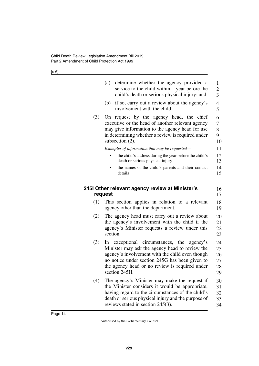<span id="page-15-1"></span><span id="page-15-0"></span>

|     | determine whether the agency provided a<br>(a)<br>service to the child within 1 year before the<br>child's death or serious physical injury; and                                                                                                                        | 1<br>$\overline{2}$<br>3         |
|-----|-------------------------------------------------------------------------------------------------------------------------------------------------------------------------------------------------------------------------------------------------------------------------|----------------------------------|
|     | if so, carry out a review about the agency's<br>(b)<br>involvement with the child.                                                                                                                                                                                      | 4<br>5                           |
| (3) | request by the agency head, the chief<br>On<br>executive or the head of another relevant agency<br>may give information to the agency head for use<br>in determining whether a review is required under<br>subsection (2).                                              | 6<br>7<br>8<br>9<br>10           |
|     | Examples of information that may be requested-<br>the child's address during the year before the child's<br>death or serious physical injury                                                                                                                            | 11<br>12<br>13                   |
|     | the names of the child's parents and their contact<br>details                                                                                                                                                                                                           | 14<br>15                         |
|     | 245I Other relevant agency review at Minister's<br>request                                                                                                                                                                                                              | 16<br>17                         |
| (1) | This section applies in relation to a relevant<br>agency other than the department.                                                                                                                                                                                     | 18<br>19                         |
| (2) | The agency head must carry out a review about<br>the agency's involvement with the child if the<br>agency's Minister requests a review under this<br>section.                                                                                                           | 20<br>21<br>22<br>23             |
| (3) | In exceptional circumstances, the<br>agency's<br>Minister may ask the agency head to review the<br>agency's involvement with the child even though<br>no notice under section 245G has been given to<br>the agency head or no review is required under<br>section 245H. | 24<br>25<br>26<br>27<br>28<br>29 |
| (4) | The agency's Minister may make the request if<br>the Minister considers it would be appropriate,<br>having regard to the circumstances of the child's<br>death or serious physical injury and the purpose of<br>reviews stated in section 245(3).                       | 30<br>31<br>32<br>33<br>34       |
|     |                                                                                                                                                                                                                                                                         |                                  |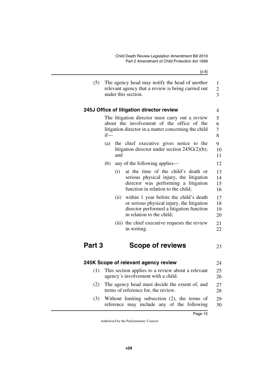<span id="page-16-1"></span><span id="page-16-0"></span> $[s 6]$ (5) The agency head may notify the head of another relevant agency that a review is being carried out under this section. **245J Office of litigation director review** The litigation director must carry out a review about the involvement of the office of the litigation director in a matter concerning the child if— (a) the chief executive gives notice to the litigation director under section 245G(2)(b); and (b) any of the following applies— (i) at the time of the child's death or serious physical injury, the litigation director was performing a litigation function in relation to the child; (ii) within 1 year before the child's death or serious physical injury, the litigation director performed a litigation function in relation to the child; (iii) the chief executive requests the review in writing. **Part 3 Scope of reviews 245K Scope of relevant agency review** (1) This section applies to a review about a relevant 1 2 3 4 5 6 7 8 9 10 11 12 13 14 15 16 17 18 19 20 21 22 23 24 25

<span id="page-16-4"></span>(2) The agency head must decide the extent of, and terms of reference for, the review. 27 28

<span id="page-16-5"></span><span id="page-16-3"></span><span id="page-16-2"></span>agency's involvement with a child.

(3) Without limiting subsection (2), the terms of reference may include any of the following 29 30

26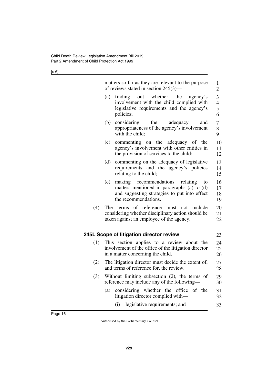<span id="page-17-1"></span><span id="page-17-0"></span>

|     | matters so far as they are relevant to the purpose<br>of reviews stated in section $245(3)$ —                                                                            | 1<br>$\overline{2}$           |
|-----|--------------------------------------------------------------------------------------------------------------------------------------------------------------------------|-------------------------------|
|     | out whether the<br>(a)<br>finding<br>agency's<br>involvement with the child complied with<br>legislative requirements and the agency's<br>policies;                      | 3<br>$\overline{4}$<br>5<br>6 |
|     | (b)<br>considering<br>the<br>adequacy<br>and<br>appropriateness of the agency's involvement<br>with the child;                                                           | 7<br>8<br>9                   |
|     | (c)<br>commenting on the adequacy of the<br>agency's involvement with other entities in<br>the provision of services to the child;                                       | 10<br>11<br>12                |
|     | (d)<br>commenting on the adequacy of legislative<br>requirements and the agency's policies<br>relating to the child;                                                     | 13<br>14<br>15                |
|     | (e)<br>making<br>recommendations<br>relating<br>to<br>matters mentioned in paragraphs (a) to (d)<br>and suggesting strategies to put into effect<br>the recommendations. | 16<br>17<br>18<br>19          |
| (4) | The terms of reference must not include<br>considering whether disciplinary action should be<br>taken against an employee of the agency.                                 | 20<br>21<br>22                |
|     | 245L Scope of litigation director review                                                                                                                                 | 23                            |
| (1) | This section applies to a review about the<br>involvement of the office of the litigation director<br>in a matter concerning the child.                                  | 24<br>25<br>26                |
| (2) | The litigation director must decide the extent of,<br>and terms of reference for, the review.                                                                            | 27<br>28                      |
| (3) | Without limiting subsection (2), the terms of<br>reference may include any of the following—                                                                             | 29<br>30                      |
|     | considering whether the office<br>of the<br>(a)<br>litigation director complied with—                                                                                    | 31<br>32                      |
|     | legislative requirements; and<br>(i)                                                                                                                                     | 33                            |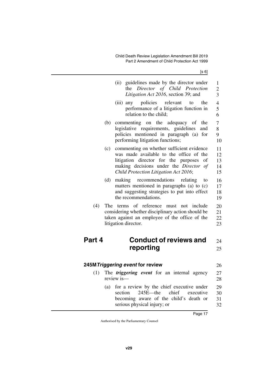<span id="page-18-3"></span><span id="page-18-2"></span><span id="page-18-1"></span><span id="page-18-0"></span>

|        | (ii) guidelines made by the director under<br>Director of Child Protection<br>the<br>Litigation Act 2016, section 39; and                                                                                                    | 1<br>$\overline{c}$<br>$\overline{\mathbf{3}}$ |
|--------|------------------------------------------------------------------------------------------------------------------------------------------------------------------------------------------------------------------------------|------------------------------------------------|
|        | (iii) any policies relevant<br>to<br>the<br>performance of a litigation function in<br>relation to the child;                                                                                                                | $\overline{4}$<br>5<br>6                       |
|        | commenting on the adequacy<br>(b)<br>of<br>the<br>legislative requirements, guidelines<br>and<br>policies mentioned in paragraph (a)<br>for<br>performing litigation functions;                                              | 7<br>8<br>9<br>10                              |
|        | commenting on whether sufficient evidence<br>(c)<br>was made available to the office of the<br>litigation director for the purposes<br>of<br>making decisions under the Director of<br>Child Protection Litigation Act 2016; | 11<br>12<br>13<br>14<br>15                     |
|        | (d)<br>recommendations<br>making<br>relating<br>to<br>matters mentioned in paragraphs (a) to (c)<br>and suggesting strategies to put into effect<br>the recommendations.                                                     | 16<br>17<br>18<br>19                           |
| (4)    | of reference<br>The terms<br>must not include<br>considering whether disciplinary action should be<br>taken against an employee of the office of the<br>litigation director.                                                 | 20<br>21<br>22<br>23                           |
| Part 4 | <b>Conduct of reviews and</b>                                                                                                                                                                                                | 24                                             |
|        | reporting                                                                                                                                                                                                                    | 25                                             |
|        | 245M Triggering event for review                                                                                                                                                                                             | 26                                             |
|        | (1) The <i>triggering event</i> for an internal agency<br>review is—                                                                                                                                                         | 27<br>28                                       |
|        | for a review by the chief executive under<br>(a)<br>$245E$ —the<br>section<br>chief<br>executive<br>becoming aware of the child's death or<br>serious physical injury; or                                                    | 29<br>30<br>31<br>32                           |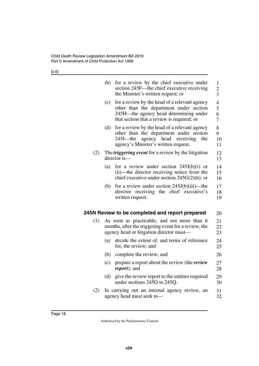<span id="page-19-1"></span><span id="page-19-0"></span>

|     | (b) | for a review by the chief executive under<br>section 245F—the chief executive receiving<br>the Minister's written request; or                                                         | 1<br>$\overline{2}$<br>3      |
|-----|-----|---------------------------------------------------------------------------------------------------------------------------------------------------------------------------------------|-------------------------------|
|     | (c) | for a review by the head of a relevant agency<br>other than the department under section<br>245H—the agency head determining under<br>that section that a review is required; or      | $\overline{4}$<br>5<br>6<br>7 |
|     | (d) | for a review by the head of a relevant agency<br>other than the department under section<br>head<br>$245I$ —the<br>agency<br>receiving<br>the<br>agency's Minister's written request. | 8<br>9<br>10<br>11            |
| (2) |     | The <i>triggering event</i> for a review by the litigation<br>director is-                                                                                                            | 12<br>13                      |
|     | (a) | for a review under section $245J(b)(i)$ or<br>(ii)—the director receiving notice from the<br>chief executive under section $245G(2)(b)$ ; or                                          | 14<br>15<br>16                |
|     | (b) | for a review under section $245J(b)(iii)$ —the<br>director receiving the chief executive's<br>written request.                                                                        | 17<br>18<br>19                |
|     |     | 245N Review to be completed and report prepared                                                                                                                                       | 20                            |
| (1) |     | As soon as practicable, and not more than 6<br>months, after the triggering event for a review, the<br>agency head or litigation director must—                                       | 21<br>22<br>23                |
|     | (a) | decide the extent of, and terms of reference<br>for, the review; and                                                                                                                  | 24<br>25                      |
|     | (b) | complete the review; and                                                                                                                                                              | 26                            |
|     | (c) | prepare a report about the review (the <i>review</i><br><i>report</i> ); and                                                                                                          | 27<br>28                      |
|     | (d) | give the review report to the entities required<br>under sections 245O to 245Q.                                                                                                       | 29<br>30                      |
| (2) |     | In carrying out an internal agency review, an<br>agency head must seek to-                                                                                                            | 31<br>32                      |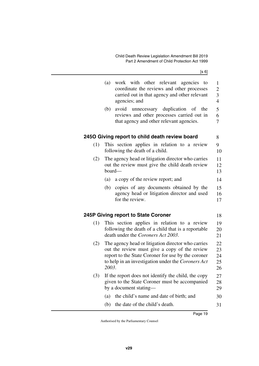<span id="page-20-3"></span><span id="page-20-2"></span><span id="page-20-1"></span><span id="page-20-0"></span>

|     | (a)   | work with other relevant agencies to<br>coordinate the reviews and other processes<br>carried out in that agency and other relevant<br>agencies; and                                                            | $\mathbf{1}$<br>$\overline{2}$<br>3<br>$\overline{4}$ |
|-----|-------|-----------------------------------------------------------------------------------------------------------------------------------------------------------------------------------------------------------------|-------------------------------------------------------|
|     | (b)   | avoid unnecessary duplication of the<br>reviews and other processes carried out in<br>that agency and other relevant agencies.                                                                                  | 5<br>6<br>7                                           |
|     |       | 2450 Giving report to child death review board                                                                                                                                                                  | 8                                                     |
| (1) |       | This section applies in relation to a review<br>following the death of a child.                                                                                                                                 | 9<br>10                                               |
| (2) |       | The agency head or litigation director who carries<br>out the review must give the child death review<br>board-                                                                                                 | 11<br>12<br>13                                        |
|     | (a)   | a copy of the review report; and                                                                                                                                                                                | 14                                                    |
|     | (b)   | copies of any documents obtained by the<br>agency head or litigation director and used<br>for the review.                                                                                                       | 15<br>16<br>17                                        |
|     |       | 245P Giving report to State Coroner                                                                                                                                                                             | 18                                                    |
| (1) |       | This section applies in relation to a review<br>following the death of a child that is a reportable<br>death under the Coroners Act 2003.                                                                       | 19<br>20<br>21                                        |
| (2) | 2003. | The agency head or litigation director who carries<br>out the review must give a copy of the review<br>report to the State Coroner for use by the coroner<br>to help in an investigation under the Coroners Act | 22<br>23<br>24<br>25<br>26                            |
| (3) |       | If the report does not identify the child, the copy<br>given to the State Coroner must be accompanied<br>by a document stating—                                                                                 | 27<br>28<br>29                                        |
|     | (a)   | the child's name and date of birth; and                                                                                                                                                                         | 30                                                    |
|     | (b)   | the date of the child's death.                                                                                                                                                                                  | 31                                                    |
|     |       |                                                                                                                                                                                                                 |                                                       |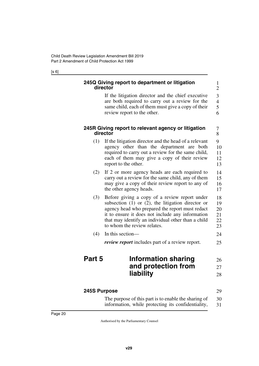#### <span id="page-21-1"></span><span id="page-21-0"></span>**245Q Giving report to department or litigation director**

If the litigation director and the chief executive are both required to carry out a review for the same child, each of them must give a copy of their review report to the other. 3 4 5 6

1 2

7 8

29

#### <span id="page-21-3"></span><span id="page-21-2"></span>**245R Giving report to relevant agency or litigation director**

- (1) If the litigation director and the head of a relevant agency other than the department are both required to carry out a review for the same child, each of them may give a copy of their review report to the other. 9 10 11 12 13
- (2) If 2 or more agency heads are each required to carry out a review for the same child, any of them may give a copy of their review report to any of the other agency heads. 14 15 16 17
- (3) Before giving a copy of a review report under subsection (1) or (2), the litigation director or agency head who prepared the report must redact it to ensure it does not include any information that may identify an individual other than a child to whom the review relates. 18 19 20 21 22 23
- (4) In this section— 24

<span id="page-21-5"></span>

| <i>review report</i> includes part of a review report. | 25 |
|--------------------------------------------------------|----|
|--------------------------------------------------------|----|

#### <span id="page-21-4"></span>**Part 5 Information sharing and protection from liability** 26 27 28

### <span id="page-21-6"></span>**245S Purpose**

<span id="page-21-7"></span>

| The purpose of this part is to enable the sharing of | 30 |
|------------------------------------------------------|----|
| information, while protecting its confidentiality,   | 31 |

Page 20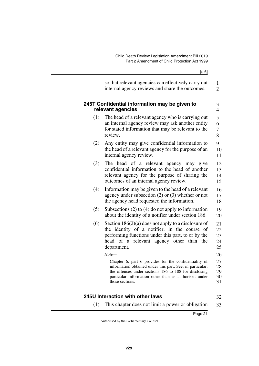<span id="page-22-1"></span><span id="page-22-0"></span>

|     | so that relevant agencies can effectively carry out<br>internal agency reviews and share the outcomes.                                                                                                                                                                                                                                                                                                                                                                                       | 1<br>$\overline{2}$                                            |
|-----|----------------------------------------------------------------------------------------------------------------------------------------------------------------------------------------------------------------------------------------------------------------------------------------------------------------------------------------------------------------------------------------------------------------------------------------------------------------------------------------------|----------------------------------------------------------------|
|     | 245T Confidential information may be given to<br>relevant agencies                                                                                                                                                                                                                                                                                                                                                                                                                           | 3<br>$\overline{4}$                                            |
| (1) | The head of a relevant agency who is carrying out<br>an internal agency review may ask another entity<br>for stated information that may be relevant to the<br>review.                                                                                                                                                                                                                                                                                                                       | 5<br>6<br>$\overline{7}$<br>8                                  |
| (2) | Any entity may give confidential information to<br>the head of a relevant agency for the purpose of an<br>internal agency review.                                                                                                                                                                                                                                                                                                                                                            | 9<br>10<br>11                                                  |
| (3) | The head of a relevant agency may give<br>confidential information to the head of another<br>relevant agency for the purpose of sharing the<br>outcomes of an internal agency review.                                                                                                                                                                                                                                                                                                        | 12<br>13<br>14<br>15                                           |
| (4) | Information may be given to the head of a relevant<br>agency under subsection $(2)$ or $(3)$ whether or not<br>the agency head requested the information.                                                                                                                                                                                                                                                                                                                                    | 16<br>17<br>18                                                 |
| (5) | Subsections $(2)$ to $(4)$ do not apply to information<br>about the identity of a notifier under section 186.                                                                                                                                                                                                                                                                                                                                                                                | 19<br>20                                                       |
| (6) | Section $186(2)(a)$ does not apply to a disclosure of<br>the identity of a notifier, in the course of<br>performing functions under this part, to or by the<br>head of a relevant agency other than the<br>department.<br>$Note-$<br>Chapter 6, part 6 provides for the confidentiality of<br>information obtained under this part. See, in particular,<br>the offences under sections 186 to 188 for disclosing<br>particular information other than as authorised under<br>those sections. | 21<br>22<br>23<br>24<br>25<br>26<br>27<br>28<br>29<br>30<br>31 |
|     |                                                                                                                                                                                                                                                                                                                                                                                                                                                                                              |                                                                |

### <span id="page-22-2"></span>**245U Interaction with other laws**

32

<span id="page-22-3"></span>(1) This chapter does not limit a power or obligation 33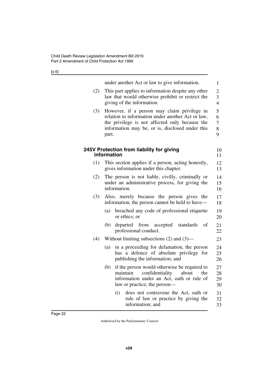<span id="page-23-1"></span><span id="page-23-0"></span>

|     | under another Act or law to give information.                                                                                                                                                                  | $\mathbf{1}$                          |
|-----|----------------------------------------------------------------------------------------------------------------------------------------------------------------------------------------------------------------|---------------------------------------|
| (2) | This part applies to information despite any other<br>law that would otherwise prohibit or restrict the<br>giving of the information.                                                                          | $\overline{c}$<br>3<br>$\overline{4}$ |
| (3) | However, if a person may claim privilege in<br>relation to information under another Act or law,<br>the privilege is not affected only because the<br>information may be, or is, disclosed under this<br>part. | 5<br>6<br>7<br>8<br>9                 |
|     | 245V Protection from liability for giving<br>information                                                                                                                                                       | 10<br>11                              |
| (1) | This section applies if a person, acting honestly,<br>gives information under this chapter.                                                                                                                    | 12<br>13                              |
| (2) | The person is not liable, civilly, criminally or<br>under an administrative process, for giving the<br>information.                                                                                            | 14<br>15<br>16                        |
| (3) | Also, merely because the person gives the<br>information, the person cannot be held to have—                                                                                                                   | 17<br>18                              |
|     | breached any code of professional etiquette<br>(a)<br>or ethics; or                                                                                                                                            | 19<br>20                              |
|     | departed from accepted<br>standards<br>(b)<br>of<br>professional conduct.                                                                                                                                      | 21<br>22                              |
| (4) | Without limiting subsections $(2)$ and $(3)$ —                                                                                                                                                                 | 23                                    |
|     | in a proceeding for defamation, the person<br>(a)<br>has a defence of absolute privilege for<br>publishing the information; and                                                                                | 24<br>25<br>26                        |
|     | if the person would otherwise be required to<br>(b)<br>maintain confidentiality about<br>the<br>information under an Act, oath or rule of<br>law or practice, the person—                                      | 27<br>28<br>29<br>30                  |
|     | does not contravene the Act, oath or<br>(i)<br>rule of law or practice by giving the<br>information; and                                                                                                       | 31<br>32<br>33                        |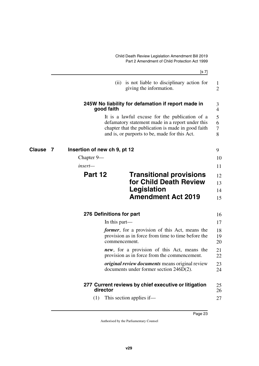<span id="page-24-5"></span><span id="page-24-1"></span><span id="page-24-0"></span>Child Death Review Legislation Amendment Bill 2019 Part 2 Amendment of Child Protection Act 1999

<span id="page-24-9"></span><span id="page-24-8"></span><span id="page-24-7"></span><span id="page-24-6"></span><span id="page-24-4"></span><span id="page-24-3"></span><span id="page-24-2"></span>

|          |                              |               | [s 7]                                                                                                                                                                                                     |                                 |
|----------|------------------------------|---------------|-----------------------------------------------------------------------------------------------------------------------------------------------------------------------------------------------------------|---------------------------------|
|          |                              |               | (ii) is not liable to disciplinary action for<br>giving the information.                                                                                                                                  | 1<br>$\overline{2}$             |
|          |                              | good faith    | 245W No liability for defamation if report made in                                                                                                                                                        | 3<br>$\overline{4}$             |
|          |                              |               | It is a lawful excuse for the publication of a<br>defamatory statement made in a report under this<br>chapter that the publication is made in good faith<br>and is, or purports to be, made for this Act. | 5<br>6<br>$\boldsymbol{7}$<br>8 |
| Clause 7 | Insertion of new ch 9, pt 12 |               |                                                                                                                                                                                                           | 9                               |
|          | Chapter 9—                   |               |                                                                                                                                                                                                           | 10                              |
|          | insert—                      |               |                                                                                                                                                                                                           | 11                              |
|          | Part 12                      |               | <b>Transitional provisions</b><br>for Child Death Review                                                                                                                                                  | 12<br>13                        |
|          |                              |               | Legislation<br><b>Amendment Act 2019</b>                                                                                                                                                                  | 14<br>15                        |
|          | 276 Definitions for part     |               |                                                                                                                                                                                                           | 16                              |
|          |                              | In this part— |                                                                                                                                                                                                           | 17                              |
|          |                              | commencement. | <i>former</i> , for a provision of this Act, means the<br>provision as in force from time to time before the                                                                                              | 18<br>19<br>20                  |
|          |                              |               | new, for a provision of this Act, means the<br>provision as in force from the commencement.                                                                                                               | 21<br>22                        |
|          |                              |               | <i>original review documents</i> means original review<br>documents under former section 246D(2).                                                                                                         | 23<br>24                        |
|          |                              | director      | 277 Current reviews by chief executive or litigation                                                                                                                                                      | 25<br>26                        |
|          | (1)                          |               | This section applies if—                                                                                                                                                                                  | 27                              |
|          |                              |               |                                                                                                                                                                                                           |                                 |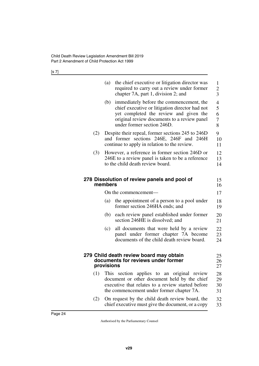[s 7]

<span id="page-25-3"></span><span id="page-25-2"></span><span id="page-25-1"></span><span id="page-25-0"></span>

|     | (a)        | the chief executive or litigation director was<br>required to carry out a review under former<br>chapter 7A, part 1, division 2; and                                                                              | 1<br>$\overline{c}$<br>$\overline{3}$                     |
|-----|------------|-------------------------------------------------------------------------------------------------------------------------------------------------------------------------------------------------------------------|-----------------------------------------------------------|
|     | (b)        | immediately before the commencement, the<br>chief executive or litigation director had not<br>yet completed the review and given the<br>original review documents to a review panel<br>under former section 246D. | $\overline{\mathcal{L}}$<br>5<br>6<br>$\overline{7}$<br>8 |
| (2) |            | Despite their repeal, former sections 245 to 246D<br>and former sections 246E, 246F and 246H<br>continue to apply in relation to the review.                                                                      | 9<br>10<br>11                                             |
| (3) |            | However, a reference in former section 246D or<br>246E to a review panel is taken to be a reference<br>to the child death review board.                                                                           | 12<br>13<br>14                                            |
|     | members    | 278 Dissolution of review panels and pool of                                                                                                                                                                      | 15<br>16                                                  |
|     |            | On the commencement-                                                                                                                                                                                              | 17                                                        |
|     | (a)        | the appointment of a person to a pool under<br>former section 246HA ends; and                                                                                                                                     | 18<br>19                                                  |
|     | (b)        | each review panel established under former<br>section 246HE is dissolved; and                                                                                                                                     | 20<br>21                                                  |
|     | (c)        | all documents that were held by a review<br>panel under former chapter 7A become<br>documents of the child death review board.                                                                                    | 22<br>23<br>24                                            |
|     | provisions | 279 Child death review board may obtain<br>documents for reviews under former                                                                                                                                     | 25<br>26<br>27                                            |
|     |            | (1) This section applies to an original review<br>document or other document held by the chief<br>executive that relates to a review started before<br>the commencement under former chapter 7A.                  | 28<br>29<br>30<br>31                                      |
| (2) |            | On request by the child death review board, the<br>chief executive must give the document, or a copy                                                                                                              | 32<br>33                                                  |
|     |            |                                                                                                                                                                                                                   |                                                           |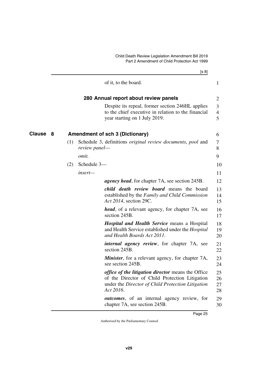<span id="page-26-3"></span><span id="page-26-2"></span><span id="page-26-1"></span><span id="page-26-0"></span>

|                    |     |               | [s 8]                                                                                                                                                                         |                          |
|--------------------|-----|---------------|-------------------------------------------------------------------------------------------------------------------------------------------------------------------------------|--------------------------|
|                    |     |               | of it, to the board.                                                                                                                                                          | $\mathbf{1}$             |
|                    |     |               | 280 Annual report about review panels                                                                                                                                         | $\overline{2}$           |
|                    |     |               | Despite its repeal, former section 246HL applies<br>to the chief executive in relation to the financial<br>year starting on 1 July 2019.                                      | 3<br>$\overline{4}$<br>5 |
| <b>Clause</b><br>8 |     |               | <b>Amendment of sch 3 (Dictionary)</b>                                                                                                                                        | 6                        |
|                    | (1) | review panel— | Schedule 3, definitions <i>original review documents</i> , <i>pool</i> and                                                                                                    | 7<br>8                   |
|                    |     | <i>omit.</i>  |                                                                                                                                                                               | 9                        |
|                    | (2) | Schedule 3-   |                                                                                                                                                                               | 10                       |
|                    |     | insert—       |                                                                                                                                                                               | 11                       |
|                    |     |               | <i>agency head</i> , for chapter 7A, see section 245B.                                                                                                                        | 12                       |
|                    |     |               | <i>child death review board</i> means the board<br>established by the Family and Child Commission<br>Act 2014, section 29C.                                                   | 13<br>14<br>15           |
|                    |     |               | <i>head</i> , of a relevant agency, for chapter 7A, see<br>section 245B.                                                                                                      | 16<br>17                 |
|                    |     |               | <b>Hospital and Health Service means a Hospital</b><br>and Health Service established under the <i>Hospital</i><br>and Health Boards Act 2011.                                | 18<br>19<br>20           |
|                    |     |               | <i>internal agency review</i> , for chapter 7A, see<br>section 245B.                                                                                                          | 21<br>22                 |
|                    |     |               | <b>Minister</b> , for a relevant agency, for chapter 7A,<br>see section 245B.                                                                                                 | 23<br>24                 |
|                    |     |               | <i>office of the litigation director</i> means the Office<br>of the Director of Child Protection Litigation<br>under the Director of Child Protection Litigation<br>Act 2016. | 25<br>26<br>27<br>28     |
|                    |     |               | outcomes, of an internal agency review, for<br>chapter 7A, see section 245B.                                                                                                  | 29<br>30                 |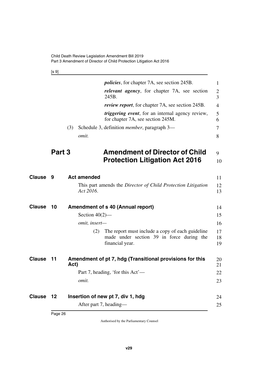<span id="page-27-1"></span>[s 9]

<span id="page-27-9"></span><span id="page-27-8"></span><span id="page-27-7"></span><span id="page-27-6"></span><span id="page-27-5"></span><span id="page-27-4"></span><span id="page-27-3"></span><span id="page-27-2"></span><span id="page-27-0"></span>

|               |        |                    | <i>policies</i> , for chapter 7A, see section 245B.                                                              | 1              |
|---------------|--------|--------------------|------------------------------------------------------------------------------------------------------------------|----------------|
|               |        |                    | <i>relevant agency</i> , for chapter 7A, see section<br>245B.                                                    | 2<br>3         |
|               |        |                    | <i>review report</i> , for chapter 7A, see section 245B.                                                         | $\overline{4}$ |
|               |        |                    | <i>triggering event</i> , for an internal agency review,<br>for chapter 7A, see section 245M.                    | 5<br>6         |
|               |        | (3)                | Schedule 3, definition <i>member</i> , paragraph 3—                                                              | 7              |
|               |        | omit.              |                                                                                                                  | 8              |
|               | Part 3 |                    | <b>Amendment of Director of Child</b>                                                                            | 9              |
|               |        |                    | <b>Protection Litigation Act 2016</b>                                                                            | 10             |
| <b>Clause</b> | 9      | <b>Act amended</b> |                                                                                                                  | 11             |
|               |        | Act 2016.          | This part amends the Director of Child Protection Litigation                                                     | 12<br>13       |
| Clause        | 10     |                    | <b>Amendment of s 40 (Annual report)</b>                                                                         | 14             |
|               |        | Section $40(2)$ —  |                                                                                                                  | 15             |
|               |        | omit, insert-      |                                                                                                                  | 16             |
|               |        | (2)                | The report must include a copy of each guideline<br>made under section 39 in force during the<br>financial year. | 17<br>18<br>19 |
| <b>Clause</b> | 11     | Act)               | Amendment of pt 7, hdg (Transitional provisions for this                                                         | 20<br>21       |
|               |        |                    | Part 7, heading, 'for this Act'-                                                                                 | 22             |
|               |        | omit.              |                                                                                                                  | 23             |
| Clause 12     |        |                    | Insertion of new pt 7, div 1, hdg                                                                                | 24             |
|               |        |                    | After part 7, heading-                                                                                           | 25             |
|               |        |                    |                                                                                                                  |                |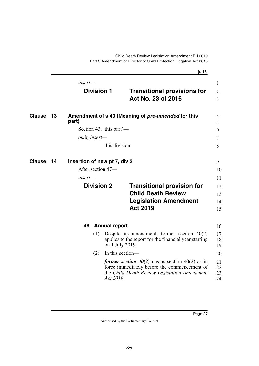<span id="page-28-5"></span>Child Death Review Legislation Amendment Bill 2019 Part 3 Amendment of Director of Child Protection Litigation Act 2016

<span id="page-28-7"></span><span id="page-28-6"></span><span id="page-28-4"></span><span id="page-28-3"></span><span id="page-28-2"></span><span id="page-28-1"></span><span id="page-28-0"></span>

|               |    |               |                              | [s 13]                                                                                                                                                |                      |
|---------------|----|---------------|------------------------------|-------------------------------------------------------------------------------------------------------------------------------------------------------|----------------------|
|               |    | insert-       |                              |                                                                                                                                                       | $\mathbf{1}$         |
|               |    |               | <b>Division 1</b>            | <b>Transitional provisions for</b><br>Act No. 23 of 2016                                                                                              | $\overline{2}$<br>3  |
| <b>Clause</b> | 13 | part)         |                              | Amendment of s 43 (Meaning of <i>pre-amended</i> for this                                                                                             | 4<br>5               |
|               |    |               | Section 43, 'this part'—     |                                                                                                                                                       | 6                    |
|               |    | omit, insert- |                              |                                                                                                                                                       | $\tau$               |
|               |    |               | this division                |                                                                                                                                                       | 8                    |
| <b>Clause</b> | 14 |               | Insertion of new pt 7, div 2 |                                                                                                                                                       | 9                    |
|               |    |               | After section 47-            |                                                                                                                                                       | 10                   |
|               |    | insert—       |                              |                                                                                                                                                       | 11                   |
|               |    |               | <b>Division 2</b>            | <b>Transitional provision for</b><br><b>Child Death Review</b>                                                                                        | 12<br>13             |
|               |    |               |                              | <b>Legislation Amendment</b><br><b>Act 2019</b>                                                                                                       | 14<br>15             |
|               |    | 48            | <b>Annual report</b>         |                                                                                                                                                       | 16                   |
|               |    |               | (1)<br>on 1 July 2019.       | Despite its amendment, former section $40(2)$<br>applies to the report for the financial year starting                                                | 17<br>18<br>19       |
|               |    |               | (2)<br>In this section-      |                                                                                                                                                       | 20                   |
|               |    |               | Act 2019.                    | <i>former section 40(2)</i> means section 40(2) as in<br>force immediately before the commencement of<br>the Child Death Review Legislation Amendment | 21<br>22<br>23<br>24 |
|               |    |               |                              |                                                                                                                                                       |                      |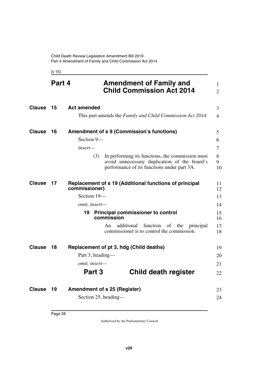<span id="page-29-9"></span><span id="page-29-8"></span><span id="page-29-5"></span><span id="page-29-3"></span><span id="page-29-2"></span><span id="page-29-1"></span><span id="page-29-0"></span>[s 15]

<span id="page-29-13"></span><span id="page-29-12"></span><span id="page-29-11"></span><span id="page-29-10"></span><span id="page-29-7"></span><span id="page-29-6"></span><span id="page-29-4"></span>

|               | Part 4 | <b>Amendment of Family and</b><br><b>Child Commission Act 2014</b>                                                                                     | 1<br>$\overline{2}$ |
|---------------|--------|--------------------------------------------------------------------------------------------------------------------------------------------------------|---------------------|
| <b>Clause</b> | 15     | <b>Act amended</b>                                                                                                                                     | 3                   |
|               |        | This part amends the Family and Child Commission Act 2014.                                                                                             | $\overline{4}$      |
| <b>Clause</b> | 16     | <b>Amendment of s 9 (Commission's functions)</b>                                                                                                       | 5                   |
|               |        | Section 9-                                                                                                                                             | 6                   |
|               |        | insert—                                                                                                                                                | 7                   |
|               |        | In performing its functions, the commission must<br>(3)<br>avoid unnecessary duplication of the board's<br>performance of its functions under part 3A. | 8<br>9<br>10        |
| <b>Clause</b> | 17     | Replacement of s 19 (Additional functions of principal<br>commissioner)                                                                                | 11<br>12            |
|               |        | Section 19-                                                                                                                                            | 13                  |
|               |        | omit, insert-                                                                                                                                          | 14                  |
|               |        | 19<br><b>Principal commissioner to control</b><br>commission                                                                                           | 15<br>16            |
|               |        | additional<br>function<br>An<br>of<br>the<br>principal<br>commissioner is to control the commission.                                                   | 17<br>18            |
| <b>Clause</b> | 18     | Replacement of pt 3, hdg (Child deaths)                                                                                                                | 19                  |
|               |        | Part 3, heading—                                                                                                                                       | 20                  |
|               |        | omit, insert-                                                                                                                                          | 21                  |
|               |        | Part 3<br><b>Child death register</b>                                                                                                                  | 22                  |
| <b>Clause</b> | 19     | <b>Amendment of s 25 (Register)</b>                                                                                                                    | 23                  |
|               |        | Section 25, heading-                                                                                                                                   | 24                  |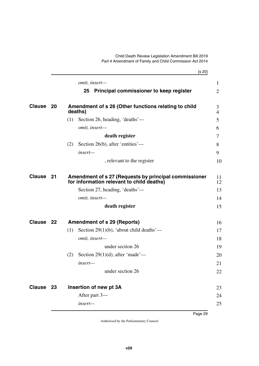#### Child Death Review Legislation Amendment Bill 2019 Part 4 Amendment of Family and Child Commission Act 2014

<span id="page-30-7"></span><span id="page-30-6"></span><span id="page-30-5"></span><span id="page-30-4"></span><span id="page-30-3"></span><span id="page-30-2"></span><span id="page-30-1"></span><span id="page-30-0"></span>

|           | [s 20]                                                                                             |                                |
|-----------|----------------------------------------------------------------------------------------------------|--------------------------------|
|           | omit, insert-<br>Principal commissioner to keep register<br>25                                     | $\mathbf{1}$<br>$\overline{2}$ |
|           |                                                                                                    |                                |
| Clause 20 | Amendment of s 26 (Other functions relating to child<br>deaths)                                    | 3<br>4                         |
|           | Section 26, heading, 'deaths'—<br>(1)                                                              | 5                              |
|           | omit, insert-                                                                                      | 6                              |
|           | death register                                                                                     | 7                              |
|           | Section 26(b), after 'entities'—<br>(2)                                                            | 8                              |
|           | insert-                                                                                            | 9                              |
|           | , relevant to the register                                                                         | 10                             |
| Clause 21 | Amendment of s 27 (Requests by principal commissioner<br>for information relevant to child deaths) | 11<br>12                       |
|           | Section 27, heading, 'deaths'—                                                                     | 13                             |
|           | omit, insert-                                                                                      | 14                             |
|           | death register                                                                                     | 15                             |
| Clause 22 | <b>Amendment of s 29 (Reports)</b>                                                                 | 16                             |
|           | Section 29(1)(b), 'about child deaths'—<br>(1)                                                     | 17                             |
|           | omit, insert-                                                                                      | 18                             |
|           | under section 26                                                                                   | 19                             |
|           | Section 29 $(1)(d)$ , after 'made'—<br>(2)                                                         | 20                             |
|           | $insert-$                                                                                          | 21                             |
|           | under section 26                                                                                   | 22                             |
| Clause 23 | Insertion of new pt 3A                                                                             | 23                             |
|           | After part 3-                                                                                      | 24                             |
|           | insert-                                                                                            | 25                             |
|           |                                                                                                    |                                |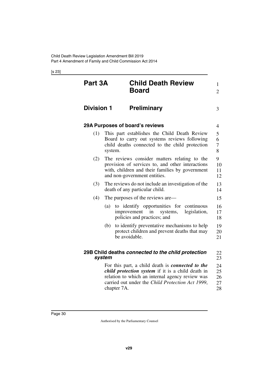<span id="page-31-7"></span><span id="page-31-6"></span><span id="page-31-5"></span><span id="page-31-4"></span><span id="page-31-3"></span><span id="page-31-2"></span><span id="page-31-1"></span><span id="page-31-0"></span>

| Part 3A           |             | <b>Child Death Review</b><br><b>Board</b>                                                                                                                                                                           | $\mathbf{1}$<br>$\overline{2}$ |
|-------------------|-------------|---------------------------------------------------------------------------------------------------------------------------------------------------------------------------------------------------------------------|--------------------------------|
| <b>Division 1</b> |             | <b>Preliminary</b>                                                                                                                                                                                                  | 3                              |
|                   |             | 29A Purposes of board's reviews                                                                                                                                                                                     | 4                              |
| (1)               | system.     | This part establishes the Child Death Review<br>Board to carry out systems reviews following<br>child deaths connected to the child protection                                                                      | 5<br>6<br>7<br>8               |
| (2)               |             | The reviews consider matters relating to the<br>provision of services to, and other interactions<br>with, children and their families by government<br>and non-government entities.                                 | 9<br>10<br>11<br>12            |
| (3)               |             | The reviews do not include an investigation of the<br>death of any particular child.                                                                                                                                | 13<br>14                       |
| (4)               |             | The purposes of the reviews are—                                                                                                                                                                                    | 15                             |
|                   | (a)         | to identify opportunities for<br>continuous<br>improvement<br>legislation,<br>in<br>systems,<br>policies and practices; and                                                                                         | 16<br>17<br>18                 |
|                   | (b)         | to identify preventative mechanisms to help<br>protect children and prevent deaths that may<br>be avoidable.                                                                                                        | 19<br>20<br>21                 |
|                   | system      | 29B Child deaths connected to the child protection                                                                                                                                                                  | 22<br>23                       |
|                   | chapter 7A. | For this part, a child death is connected to the<br><i>child protection system</i> if it is a child death in<br>relation to which an internal agency review was<br>carried out under the Child Protection Act 1999, | 24<br>25<br>26<br>27<br>28     |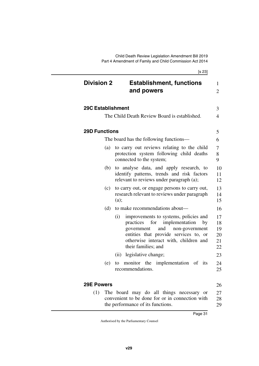<span id="page-32-5"></span><span id="page-32-4"></span><span id="page-32-3"></span><span id="page-32-2"></span><span id="page-32-1"></span><span id="page-32-0"></span>

| <b>Division 2</b>        | <b>Establishment, functions</b><br>and powers                                                                                                                                                                                            |
|--------------------------|------------------------------------------------------------------------------------------------------------------------------------------------------------------------------------------------------------------------------------------|
| <b>29C Establishment</b> |                                                                                                                                                                                                                                          |
|                          | The Child Death Review Board is established.                                                                                                                                                                                             |
| <b>29D Functions</b>     |                                                                                                                                                                                                                                          |
|                          | The board has the following functions—                                                                                                                                                                                                   |
| (a)                      | to carry out reviews relating to the child<br>protection system following child deaths<br>connected to the system;                                                                                                                       |
| (b)                      | to analyse data, and apply research, to<br>identify patterns, trends and risk factors<br>relevant to reviews under paragraph (a);                                                                                                        |
| (c)                      | to carry out, or engage persons to carry out,<br>research relevant to reviews under paragraph<br>(a);                                                                                                                                    |
| (d)                      | to make recommendations about—                                                                                                                                                                                                           |
|                          | (i)<br>improvements to systems, policies and<br>practices<br>implementation<br>for<br>by<br>and<br>non-government<br>government<br>entities that provide services to, or<br>otherwise interact with, children and<br>their families; and |
|                          | legislative change;<br>(ii)                                                                                                                                                                                                              |
| (e)                      | implementation of its<br>monitor the<br>to<br>recommendations.                                                                                                                                                                           |

<span id="page-32-7"></span><span id="page-32-6"></span>(1) The board may do all things necessary or convenient to be done for or in connection with the performance of its functions. 27 28 29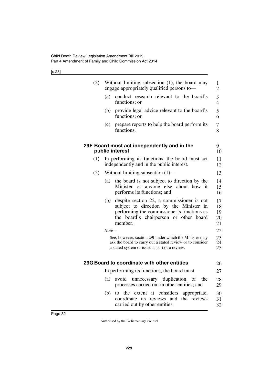<span id="page-33-3"></span><span id="page-33-2"></span><span id="page-33-1"></span><span id="page-33-0"></span>

| (2) |       | Without limiting subsection (1), the board may<br>engage appropriately qualified persons to—                                                                                            | 1<br>$\overline{2}$        |
|-----|-------|-----------------------------------------------------------------------------------------------------------------------------------------------------------------------------------------|----------------------------|
|     | (a)   | conduct research relevant to the board's<br>functions; or                                                                                                                               | $\overline{3}$<br>4        |
|     | (b)   | provide legal advice relevant to the board's<br>functions; or                                                                                                                           | 5<br>6                     |
|     | (c)   | prepare reports to help the board perform its<br>functions.                                                                                                                             | 7<br>8                     |
|     |       | 29F Board must act independently and in the<br>public interest                                                                                                                          | 9<br>10                    |
| (1) |       | In performing its functions, the board must act<br>independently and in the public interest.                                                                                            | 11<br>12                   |
| (2) |       | Without limiting subsection $(1)$ —                                                                                                                                                     | 13                         |
|     | (a)   | the board is not subject to direction by the<br>Minister or anyone else<br>about how it<br>performs its functions; and                                                                  | 14<br>15<br>16             |
|     | (b)   | despite section 22, a commissioner is not<br>subject to direction by the Minister in<br>performing the commissioner's functions as<br>the board's chairperson or other board<br>member. | 17<br>18<br>19<br>20<br>21 |
|     | Note— |                                                                                                                                                                                         | 22                         |
|     |       | See, however, section 29I under which the Minister may<br>ask the board to carry out a stated review or to consider<br>a stated system or issue as part of a review.                    | 23<br>24<br>25             |
|     |       | 29G Board to coordinate with other entities                                                                                                                                             | 26                         |
|     |       | In performing its functions, the board must—                                                                                                                                            | 27                         |
|     | (a)   | avoid unnecessary duplication of the<br>processes carried out in other entities; and                                                                                                    | 28<br>29                   |
|     | (b)   | to the extent it considers appropriate,<br>coordinate its reviews and the reviews<br>carried out by other entities.                                                                     | 30<br>31<br>32             |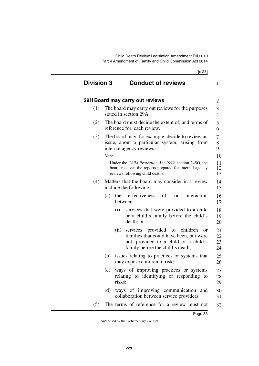<span id="page-34-3"></span><span id="page-34-2"></span><span id="page-34-1"></span><span id="page-34-0"></span>

| <b>Division 3</b> |            | <b>Conduct of reviews</b>                                                                                                                                          | 1                    |
|-------------------|------------|--------------------------------------------------------------------------------------------------------------------------------------------------------------------|----------------------|
|                   |            | 29H Board may carry out reviews                                                                                                                                    | $\overline{2}$       |
| (1)               |            | The board may carry out reviews for the purposes<br>stated in section 29A.                                                                                         | 3<br>$\overline{4}$  |
| (2)               |            | The board must decide the extent of, and terms of<br>reference for, each review.                                                                                   | 5<br>6               |
| (3)               |            | The board may, for example, decide to review an<br>issue, about a particular system, arising from<br>internal agency reviews.                                      | 7<br>8<br>9          |
|                   | $Note-$    | Under the Child Protection Act 1999, section 2450, the<br>board receives the reports prepared for internal agency<br>reviews following child deaths.               | 10<br>11<br>12<br>13 |
| (4)               |            | Matters that the board may consider in a review<br>include the following—                                                                                          | 14<br>15             |
|                   | the<br>(a) | effectiveness<br>of.<br>interaction<br><sub>or</sub><br>between-                                                                                                   | 16<br>17             |
|                   | (i)        | services that were provided to a child<br>or a child's family before the child's<br>death; or                                                                      | 18<br>19<br>20       |
|                   | (ii)       | services provided to children<br><b>or</b><br>families that could have been, but were<br>not, provided to a child or a child's<br>family before the child's death; | 21<br>22<br>23<br>24 |
|                   | (b)        | issues relating to practices or systems that<br>may expose children to risk;                                                                                       | 25<br>26             |
|                   |            | (c) ways of improving practices or systems<br>relating to identifying or responding to<br>risks;                                                                   | 27<br>28<br>29       |
|                   | (d)        | ways of improving communication and<br>collaboration between service providers.                                                                                    | 30<br>31             |
| (5)               |            | The terms of reference for a review must not                                                                                                                       | 32                   |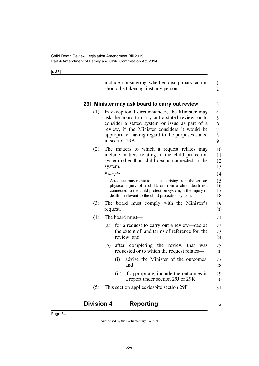<span id="page-35-1"></span><span id="page-35-0"></span>

|     | include considering whether disciplinary action<br>should be taken against any person.                                                                                                                                                                                         | 1<br>$\overline{2}$                     |
|-----|--------------------------------------------------------------------------------------------------------------------------------------------------------------------------------------------------------------------------------------------------------------------------------|-----------------------------------------|
|     | 291 Minister may ask board to carry out review                                                                                                                                                                                                                                 | 3                                       |
| (1) | In exceptional circumstances, the Minister may<br>ask the board to carry out a stated review, or to<br>consider a stated system or issue as part of a<br>review, if the Minister considers it would be<br>appropriate, having regard to the purposes stated<br>in section 29A. | $\overline{4}$<br>5<br>6<br>7<br>8<br>9 |
| (2) | The matters to which a request relates may<br>include matters relating to the child protection<br>system other than child deaths connected to the<br>system.                                                                                                                   | 10<br>11<br>12<br>13                    |
|     | Example—<br>A request may relate to an issue arising from the serious<br>physical injury of a child, or from a child death not<br>connected to the child protection system, if the injury or<br>death is relevant to the child protection system.                              | 14<br>15<br>16<br>17<br>18              |
| (3) | The board must comply with the Minister's<br>request.                                                                                                                                                                                                                          | 19<br>20                                |
| (4) | The board must—                                                                                                                                                                                                                                                                | 21                                      |
|     | for a request to carry out a review—decide<br>(a)<br>the extent of, and terms of reference for, the<br>review; and                                                                                                                                                             | 22<br>23<br>24                          |
|     | after completing the review<br>(b)<br>that<br>was<br>requested or to which the request relates—                                                                                                                                                                                | 25<br>26                                |
|     | advise the Minister of the outcomes;<br>(i)                                                                                                                                                                                                                                    | 27                                      |

- <span id="page-35-3"></span>(ii) if appropriate, include the outcomes in a report under section 29J or 29K. 29 30
- (5) This section applies despite section 29F. 31

<span id="page-35-2"></span>

| <b>Division 4</b> | <b>Reporting</b> |  |
|-------------------|------------------|--|
|-------------------|------------------|--|

28

and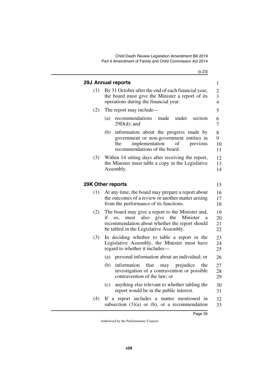<span id="page-36-3"></span><span id="page-36-2"></span><span id="page-36-1"></span><span id="page-36-0"></span>

|     | <b>29J Annual reports</b>                                                                                                                                                                            | 1                                                           |
|-----|------------------------------------------------------------------------------------------------------------------------------------------------------------------------------------------------------|-------------------------------------------------------------|
| (1) | By 31 October after the end of each financial year,<br>the board must give the Minister a report of its<br>operations during the financial year.                                                     | $\overline{c}$<br>$\overline{\mathbf{3}}$<br>$\overline{4}$ |
| (2) | The report may include—                                                                                                                                                                              | 5                                                           |
|     | recommendations<br>made<br>under<br>section<br>(a)<br>$29D(d)$ ; and                                                                                                                                 | 6<br>7                                                      |
|     | information about the progress made by<br>(b)<br>government or non-government entities in<br>implementation<br>of<br>the<br>previous<br>recommendations of the board.                                | 8<br>9<br>10<br>11                                          |
| (3) | Within 14 sitting days after receiving the report,<br>the Minister must table a copy in the Legislative<br>Assembly.                                                                                 | 12<br>13<br>14                                              |
|     | 29K Other reports                                                                                                                                                                                    | 15                                                          |
| (1) | At any time, the board may prepare a report about<br>the outcomes of a review or another matter arising<br>from the performance of its functions.                                                    | 16<br>17<br>18                                              |
| (2) | The board may give a report to the Minister and,<br>if<br>so, must<br>also give the Minister<br>$\rm{a}$<br>recommendation about whether the report should<br>be tabled in the Legislative Assembly. | 19<br>20<br>21<br>22                                        |
| (3) | In deciding whether to table a report in the<br>Legislative Assembly, the Minister must have<br>regard to whether it includes—                                                                       | 23<br>24<br>25                                              |
|     | personal information about an individual; or<br>(a)                                                                                                                                                  | 26                                                          |
|     | (b)<br>information<br>that<br>may prejudice<br>the<br>investigation of a contravention or possible<br>contravention of the law; or                                                                   | 27<br>28<br>29                                              |
|     | anything else relevant to whether tabling the<br>(c)<br>report would be in the public interest.                                                                                                      | 30<br>31                                                    |
| (4) | If a report includes a matter mentioned in<br>subsection $(3)(a)$ or $(b)$ , or a recommendation                                                                                                     | 32<br>33                                                    |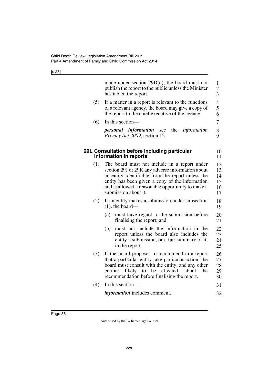<span id="page-37-1"></span><span id="page-37-0"></span>

|     | made under section $29D(d)$ , the board must not<br>publish the report to the public unless the Minister<br>has tabled the report.                                                                                                                                                    | $\mathbf{1}$<br>$\overline{c}$<br>$\overline{3}$ |
|-----|---------------------------------------------------------------------------------------------------------------------------------------------------------------------------------------------------------------------------------------------------------------------------------------|--------------------------------------------------|
| (5) | If a matter in a report is relevant to the functions<br>of a relevant agency, the board may give a copy of<br>the report to the chief executive of the agency.                                                                                                                        | $\overline{4}$<br>5<br>6                         |
| (6) | In this section—                                                                                                                                                                                                                                                                      | 7                                                |
|     | the<br><i>personal information</i><br>Information<br>see<br>Privacy Act 2009, section 12.                                                                                                                                                                                             | 8<br>9                                           |
|     | 29L Consultation before including particular<br>information in reports                                                                                                                                                                                                                | 10<br>11                                         |
| (1) | The board must not include in a report under<br>section 29J or 29K any adverse information about<br>an entity identifiable from the report unless the<br>entity has been given a copy of the information<br>and is allowed a reasonable opportunity to make a<br>submission about it. | 12<br>13<br>14<br>15<br>16<br>17                 |
| (2) | If an entity makes a submission under subsection<br>$(1)$ , the board—                                                                                                                                                                                                                | 18<br>19                                         |
|     | must have regard to the submission before<br>(a)<br>finalising the report; and                                                                                                                                                                                                        | 20<br>21                                         |
|     | must not include the information in the<br>(b)<br>report unless the board also includes the<br>entity's submission, or a fair summary of it,<br>in the report.                                                                                                                        | 22<br>23<br>24<br>25                             |
| (3) | If the board proposes to recommend in a report<br>that a particular entity take particular action, the<br>board must consult with the entity, and any other<br>entities<br>likely<br>to<br>be<br>affected,<br>about<br>the<br>recommendation before finalising the report.            | 26<br>27<br>28<br>29<br>30                       |
| (4) | In this section—                                                                                                                                                                                                                                                                      | 31                                               |
|     | <i>information</i> includes comment.                                                                                                                                                                                                                                                  | 32                                               |
|     |                                                                                                                                                                                                                                                                                       |                                                  |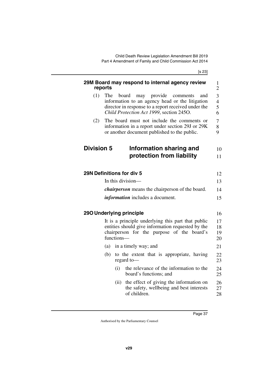<span id="page-38-7"></span><span id="page-38-6"></span><span id="page-38-5"></span><span id="page-38-4"></span><span id="page-38-3"></span><span id="page-38-2"></span><span id="page-38-1"></span><span id="page-38-0"></span>

|                   | reports | 29M Board may respond to internal agency review                                                                                                                                               | $\mathbf{1}$<br>$\overline{2}$ |
|-------------------|---------|-----------------------------------------------------------------------------------------------------------------------------------------------------------------------------------------------|--------------------------------|
| (1)               | The     | may provide<br>board<br>comments<br>and<br>information to an agency head or the litigation<br>director in response to a report received under the<br>Child Protection Act 1999, section 245O. | 3<br>$\overline{4}$<br>5<br>6  |
| (2)               |         | The board must not include the comments or<br>information in a report under section 29J or 29K<br>or another document published to the public.                                                | 7<br>8<br>9                    |
| <b>Division 5</b> |         | Information sharing and                                                                                                                                                                       | 10                             |
|                   |         | protection from liability                                                                                                                                                                     | 11                             |
|                   |         | 29N Definitions for div 5                                                                                                                                                                     | 12                             |
|                   |         | In this division—                                                                                                                                                                             | 13                             |
|                   |         | <i>chairperson</i> means the chairperson of the board.                                                                                                                                        | 14                             |
|                   |         | <i>information</i> includes a document.                                                                                                                                                       | 15                             |
|                   |         | 290 Underlying principle                                                                                                                                                                      | 16                             |
|                   |         | It is a principle underlying this part that public<br>entities should give information requested by the<br>chairperson for the purpose of the board's<br>functions-                           | 17<br>18<br>19<br>20           |
|                   | (a)     | in a timely way; and                                                                                                                                                                          | 21                             |
|                   | (b)     | to the extent that is appropriate, having<br>regard to-                                                                                                                                       | 22<br>23                       |
|                   |         | the relevance of the information to the<br>(i)<br>board's functions; and                                                                                                                      | 24<br>25                       |
|                   |         | the effect of giving the information on<br>(ii)<br>the safety, wellbeing and best interests<br>of children.                                                                                   | 26<br>27<br>28                 |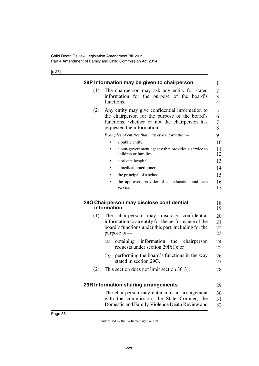<span id="page-39-1"></span><span id="page-39-0"></span>

|     | 29P Information may be given to chairperson                                                                  | 1                   |
|-----|--------------------------------------------------------------------------------------------------------------|---------------------|
| (1) | The chairperson may ask any entity for stated                                                                | $\overline{c}$      |
|     | information for the purpose of the board's<br>functions.                                                     | 3<br>$\overline{4}$ |
| (2) | Any entity may give confidential information to                                                              | 5                   |
|     | the chairperson for the purpose of the board's                                                               | 6                   |
|     | functions, whether or not the chairperson has                                                                | 7                   |
|     | requested the information.                                                                                   | 8                   |
|     | Examples of entities that may give information-                                                              | 9                   |
|     | a public entity                                                                                              | 10                  |
|     | a non-government agency that provides a service to<br>$\bullet$<br>children or families                      | 11<br>12            |
|     | a private hospital<br>$\bullet$                                                                              | 13                  |
|     | a medical practitioner                                                                                       | 14                  |
|     | the principal of a school                                                                                    | 15                  |
|     | the approved provider of an education and care<br>service                                                    | 16<br>17            |
|     | 29Q Chairperson may disclose confidential<br>information                                                     | 18<br>19            |
|     |                                                                                                              |                     |
| (1) | The<br>disclose<br>confidential<br>chairperson<br>may<br>information to an entity for the performance of the | 20<br>21            |
|     | board's functions under this part, including for the                                                         | 22                  |
|     | purpose of-                                                                                                  | 23                  |
|     | information<br>(a)<br>obtaining<br>the<br>chairperson                                                        | 24                  |
|     | requests under section $29P(1)$ ; or                                                                         | 25                  |
|     | performing the board's functions in the way<br>(b)<br>stated in section 29G.                                 | 26<br>27            |
| (2) | This section does not limit section $36(3)$ .                                                                | 28                  |
|     |                                                                                                              |                     |
|     | 29R Information sharing arrangements                                                                         | 29                  |
|     | The chairperson may enter into an arrangement                                                                | 30                  |
|     | with the commission, the State Coroner, the                                                                  | 31                  |

<span id="page-39-5"></span><span id="page-39-4"></span><span id="page-39-3"></span><span id="page-39-2"></span>Domestic and Family Violence Death Review and

32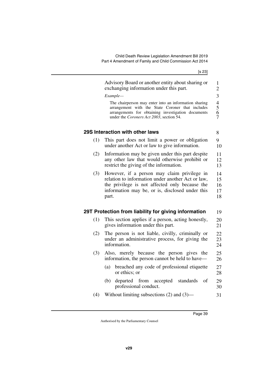<span id="page-40-3"></span><span id="page-40-2"></span><span id="page-40-1"></span><span id="page-40-0"></span>

|     | Advisory Board or another entity about sharing or<br>exchanging information under this part.<br>Example-<br>The chairperson may enter into an information sharing                                              | 1<br>$\overline{2}$<br>3   |
|-----|----------------------------------------------------------------------------------------------------------------------------------------------------------------------------------------------------------------|----------------------------|
|     | arrangement with the State Coroner that includes<br>arrangements for obtaining investigation documents<br>under the Coroners Act 2003, section 54.                                                             | $rac{4}{5}$ 6 7            |
|     | 29S Interaction with other laws                                                                                                                                                                                | 8                          |
| (1) | This part does not limit a power or obligation<br>under another Act or law to give information.                                                                                                                | 9<br>10                    |
| (2) | Information may be given under this part despite<br>any other law that would otherwise prohibit or<br>restrict the giving of the information.                                                                  | 11<br>12<br>13             |
| (3) | However, if a person may claim privilege in<br>relation to information under another Act or law,<br>the privilege is not affected only because the<br>information may be, or is, disclosed under this<br>part. | 14<br>15<br>16<br>17<br>18 |
|     | 29T Protection from liability for giving information                                                                                                                                                           | 19                         |
| (1) | This section applies if a person, acting honestly,<br>gives information under this part.                                                                                                                       | 20<br>21                   |
| (2) | The person is not liable, civilly, criminally or<br>under an administrative process, for giving the<br>information.                                                                                            | 22<br>23<br>24             |
| (3) | Also, merely because the person gives the<br>information, the person cannot be held to have-                                                                                                                   | 25<br>26                   |
|     | breached any code of professional etiquette<br>(a)<br>or ethics; or                                                                                                                                            | 27<br>28                   |
|     | departed from accepted<br>standards<br>(b)<br>of<br>professional conduct.                                                                                                                                      | 29<br>30                   |
| (4) | Without limiting subsections $(2)$ and $(3)$ —                                                                                                                                                                 | 31                         |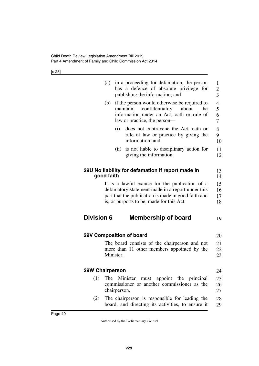<span id="page-41-7"></span><span id="page-41-6"></span><span id="page-41-5"></span><span id="page-41-4"></span><span id="page-41-3"></span><span id="page-41-2"></span><span id="page-41-1"></span><span id="page-41-0"></span>

|                        | (a)        |              | in a proceeding for defamation, the person<br>has a defence of absolute privilege for<br>publishing the information; and                                     | 1<br>$\overline{c}$<br>$\overline{3}$ |
|------------------------|------------|--------------|--------------------------------------------------------------------------------------------------------------------------------------------------------------|---------------------------------------|
|                        | (b)        | maintain     | if the person would otherwise be required to<br>confidentiality<br>about<br>the<br>information under an Act, oath or rule of<br>law or practice, the person- | $\overline{4}$<br>5<br>6<br>7         |
|                        |            | (i)          | does not contravene the Act, oath or<br>rule of law or practice by giving the<br>information; and                                                            | 8<br>9<br>10                          |
|                        |            | (ii)         | is not liable to disciplinary action for<br>giving the information.                                                                                          | 11<br>12                              |
|                        | good faith |              | 29U No liability for defamation if report made in                                                                                                            | 13<br>14                              |
|                        |            |              | It is a lawful excuse for the publication of a                                                                                                               | 15                                    |
|                        |            |              | defamatory statement made in a report under this                                                                                                             | 16                                    |
|                        |            |              | part that the publication is made in good faith and                                                                                                          | 17                                    |
|                        |            |              | is, or purports to be, made for this Act.                                                                                                                    | 18                                    |
| <b>Division 6</b>      |            |              | <b>Membership of board</b>                                                                                                                                   | 19                                    |
|                        |            |              | 29V Composition of board                                                                                                                                     | 20                                    |
|                        |            |              | The board consists of the chairperson and not                                                                                                                | 21                                    |
|                        |            |              | more than 11 other members appointed by the                                                                                                                  | 22                                    |
|                        |            | Minister.    |                                                                                                                                                              | 23                                    |
| <b>29W Chairperson</b> |            |              |                                                                                                                                                              | 24                                    |
| (1)                    | The        | chairperson. | Minister<br>must appoint the principal<br>commissioner or another commissioner as the                                                                        | 25<br>26<br>27                        |
| (2)                    |            |              | The chairperson is responsible for leading the<br>board, and directing its activities, to ensure it                                                          | 28<br>29                              |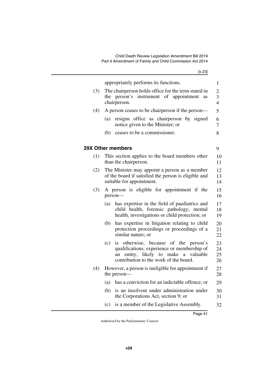<span id="page-42-1"></span><span id="page-42-0"></span>

|     | appropriately performs its functions.                                                                                                                                                         | 1                                                           |
|-----|-----------------------------------------------------------------------------------------------------------------------------------------------------------------------------------------------|-------------------------------------------------------------|
| (3) | The chairperson holds office for the term stated in<br>the person's instrument of appointment<br>as<br>chairperson.                                                                           | $\overline{c}$<br>$\overline{\mathbf{3}}$<br>$\overline{4}$ |
| (4) | A person ceases to be chairperson if the person—                                                                                                                                              | 5                                                           |
|     | resigns office as chairperson by signed<br>(a)<br>notice given to the Minister; or                                                                                                            | 6<br>7                                                      |
|     | ceases to be a commissioner.<br>(b)                                                                                                                                                           | 8                                                           |
|     | <b>29X Other members</b>                                                                                                                                                                      | 9                                                           |
| (1) | This section applies to the board members other<br>than the chairperson.                                                                                                                      | 10<br>11                                                    |
| (2) | The Minister may appoint a person as a member<br>of the board if satisfied the person is eligible and<br>suitable for appointment.                                                            | 12<br>13<br>14                                              |
| (3) | A person is eligible for appointment if the<br>person-                                                                                                                                        | 15<br>16                                                    |
|     | has expertise in the field of paediatrics and<br>(a)<br>child health, forensic pathology, mental<br>health, investigations or child protection; or                                            | 17<br>18<br>19                                              |
|     | has expertise in litigation relating to child<br>(b)<br>protection proceedings or proceedings of a<br>similar nature; or                                                                      | 20<br>21<br>22                                              |
|     | otherwise, because of the<br>(c)<br>person's<br><i>is</i><br>qualifications, experience or membership of<br>entity, likely to make a valuable<br>an<br>contribution to the work of the board. | 23<br>24<br>25<br>26                                        |
| (4) | However, a person is ineligible for appointment if<br>the person—                                                                                                                             | 27<br>28                                                    |
|     | has a conviction for an indictable offence; or<br>(a)                                                                                                                                         | 29                                                          |
|     | is an insolvent under administration under<br>(b)<br>the Corporations Act, section 9; or                                                                                                      | 30<br>31                                                    |
|     | is a member of the Legislative Assembly.<br>(c)                                                                                                                                               | 32                                                          |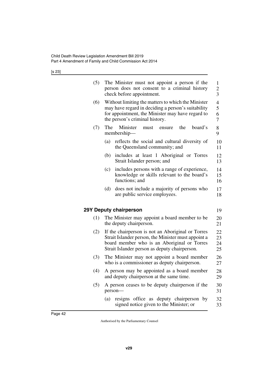<span id="page-43-1"></span><span id="page-43-0"></span>

| (5) | The Minister must not appoint a person if the<br>person does not consent to a criminal history<br>check before appointment.                                                                              | 1<br>$\frac{2}{3}$            |  |
|-----|----------------------------------------------------------------------------------------------------------------------------------------------------------------------------------------------------------|-------------------------------|--|
| (6) | Without limiting the matters to which the Minister<br>may have regard in deciding a person's suitability<br>for appointment, the Minister may have regard to<br>the person's criminal history.           | $\overline{4}$<br>5<br>6<br>7 |  |
| (7) | Minister<br>The<br>the<br>board's<br>must<br>ensure<br>membership-                                                                                                                                       | 8<br>9                        |  |
|     | (a)<br>reflects the social and cultural diversity of<br>the Queensland community; and                                                                                                                    | 10<br>11                      |  |
|     | (b)<br>includes at least 1 Aboriginal or Torres<br>Strait Islander person; and                                                                                                                           | 12<br>13                      |  |
|     | includes persons with a range of experience,<br>(c)<br>knowledge or skills relevant to the board's<br>functions; and                                                                                     | 14<br>15<br>16                |  |
|     | (d)<br>does not include a majority of persons who<br>are public service employees.                                                                                                                       | 17<br>18                      |  |
|     | 29Y Deputy chairperson                                                                                                                                                                                   | 19                            |  |
| (1) | The Minister may appoint a board member to be.<br>the deputy chairperson.                                                                                                                                | 20<br>21                      |  |
| (2) | If the chairperson is not an Aboriginal or Torres<br>Strait Islander person, the Minister must appoint a<br>board member who is an Aboriginal or Torres<br>Strait Islander person as deputy chairperson. |                               |  |
| (3) | The Minister may not appoint a board member<br>who is a commissioner as deputy chairperson.                                                                                                              |                               |  |
| (4) | A person may be appointed as a board member<br>and deputy chairperson at the same time.                                                                                                                  | 28<br>29                      |  |
| (5) | A person ceases to be deputy chairperson if the<br>person-                                                                                                                                               | 30<br>31                      |  |
|     | resigns office as deputy chairperson by<br>(a)<br>signed notice given to the Minister; or                                                                                                                | 32<br>33                      |  |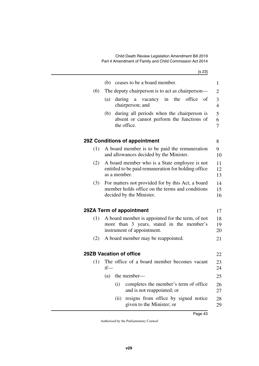<span id="page-44-5"></span><span id="page-44-4"></span><span id="page-44-3"></span><span id="page-44-2"></span><span id="page-44-1"></span><span id="page-44-0"></span>

|     | (b) ceases to be a board member.                                                                                                 | 1                        |  |
|-----|----------------------------------------------------------------------------------------------------------------------------------|--------------------------|--|
| (6) | The deputy chairperson is to act as chairperson—                                                                                 | $\overline{2}$           |  |
|     | (a)<br>during<br>vacancy in<br>the<br>office<br><sub>of</sub><br>a<br>chairperson; and                                           | 3<br>$\overline{4}$      |  |
|     | during all periods when the chairperson is<br>(b)<br>absent or cannot perform the functions of<br>the office.                    | 5<br>6<br>$\overline{7}$ |  |
|     | 29Z Conditions of appointment                                                                                                    | 8                        |  |
| (1) | A board member is to be paid the remuneration<br>and allowances decided by the Minister.                                         | 9<br>10                  |  |
| (2) | A board member who is a State employee is not<br>entitled to be paid remuneration for holding office<br>as a member.             | 11<br>12<br>13           |  |
| (3) | For matters not provided for by this Act, a board<br>member holds office on the terms and conditions<br>decided by the Minister. |                          |  |
|     | 29ZA Term of appointment                                                                                                         | 17                       |  |
| (1) | A board member is appointed for the term, of not<br>more than 3 years, stated in the member's<br>instrument of appointment.      | 18<br>19<br>20           |  |
| (2) | A board member may be reappointed.                                                                                               | 21                       |  |
|     | 29ZB Vacation of office                                                                                                          | 22                       |  |
| (1) | The office of a board member becomes vacant                                                                                      | 23                       |  |
|     | $if$ —                                                                                                                           | 24                       |  |
|     | the member-<br>(a)                                                                                                               | 25                       |  |
|     | completes the member's term of office<br>(i)<br>and is not reappointed; or                                                       | 26<br>27                 |  |
|     | resigns from office by signed notice<br>(ii)<br>given to the Minister; or                                                        | 28<br>29                 |  |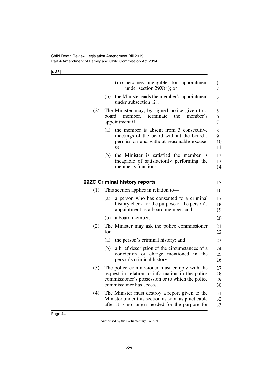<span id="page-45-1"></span><span id="page-45-0"></span>

|     | (iii) becomes ineligible for appointment<br>under section $29X(4)$ ; or                                                                                                          | 1<br>$\overline{2}$  |
|-----|----------------------------------------------------------------------------------------------------------------------------------------------------------------------------------|----------------------|
|     | the Minister ends the member's appointment<br>(b)<br>under subsection $(2)$ .                                                                                                    | 3<br>$\overline{4}$  |
| (2) | The Minister may, by signed notice given to a<br>the<br>member's<br>board<br>member,<br>terminate<br>appointment if-                                                             | 5<br>6<br>7          |
|     | the member is absent from 3 consecutive<br>(a)<br>meetings of the board without the board's<br>permission and without reasonable excuse;<br>or                                   | 8<br>9<br>10<br>11   |
|     | the Minister is satisfied the member is<br>(b)<br>incapable of satisfactorily performing the<br>member's functions.                                                              | 12<br>13<br>14       |
|     | 29ZC Criminal history reports                                                                                                                                                    | 15                   |
| (1) | This section applies in relation to-                                                                                                                                             | 16                   |
|     | a person who has consented to a criminal<br>(a)<br>history check for the purpose of the person's<br>appointment as a board member; and                                           | 17<br>18<br>19       |
|     | a board member.<br>(b)                                                                                                                                                           | 20                   |
| (2) | The Minister may ask the police commissioner<br>$for-$                                                                                                                           | 21<br>22             |
|     | the person's criminal history; and<br>(a)                                                                                                                                        | 23                   |
|     | a brief description of the circumstances of a<br>(b)<br>conviction or charge mentioned in the<br>person's criminal history.                                                      | 24<br>25<br>26       |
| (3) | The police commissioner must comply with the<br>request in relation to information in the police<br>commissioner's possession or to which the police<br>commissioner has access. | 27<br>28<br>29<br>30 |
| (4) | The Minister must destroy a report given to the<br>Minister under this section as soon as practicable<br>after it is no longer needed for the purpose for                        | 31<br>32<br>33       |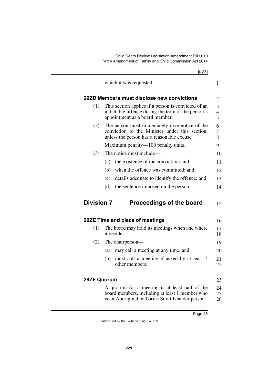<span id="page-46-1"></span><span id="page-46-0"></span>

|                    | [s 23]                                                                                                                                         |  |
|--------------------|------------------------------------------------------------------------------------------------------------------------------------------------|--|
|                    | which it was requested.                                                                                                                        |  |
|                    | 29ZD Members must disclose new convictions                                                                                                     |  |
| (1)                | This section applies if a person is convicted of an<br>indictable offence during the term of the person's<br>appointment as a board member.    |  |
| (2)                | The person must immediately give notice of the<br>conviction to the Minister under this section,<br>unless the person has a reasonable excuse. |  |
|                    | Maximum penalty—100 penalty units.                                                                                                             |  |
| (3)                | The notice must include—                                                                                                                       |  |
|                    | the existence of the conviction; and<br>(a)                                                                                                    |  |
|                    | when the offence was committed; and<br>(b)                                                                                                     |  |
|                    | details adequate to identify the offence; and<br>(c)                                                                                           |  |
|                    | (d)<br>the sentence imposed on the person.                                                                                                     |  |
| <b>Division 7</b>  | <b>Proceedings of the board</b>                                                                                                                |  |
|                    | 29ZE Time and place of meetings                                                                                                                |  |
| (1)                | The board may hold its meetings when and where<br>it decides.                                                                                  |  |
| (2)                | The chairperson—                                                                                                                               |  |
|                    | may call a meeting at any time; and<br>(a)                                                                                                     |  |
|                    | (b)<br>must call a meeting if asked by at least 3<br>other members.                                                                            |  |
| <b>29ZF Quorum</b> |                                                                                                                                                |  |
|                    | A quorum for a meeting is at least half of the                                                                                                 |  |

<span id="page-46-7"></span><span id="page-46-6"></span><span id="page-46-5"></span><span id="page-46-4"></span><span id="page-46-3"></span><span id="page-46-2"></span>board members, including at least 1 member who is an Aboriginal or Torres Strait Islander person. 25 26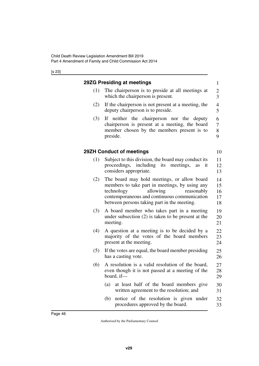<span id="page-47-3"></span><span id="page-47-2"></span><span id="page-47-1"></span><span id="page-47-0"></span>

|     | 29ZG Presiding at meetings                                                                                                                                                                                                           | $\mathbf{1}$                    |
|-----|--------------------------------------------------------------------------------------------------------------------------------------------------------------------------------------------------------------------------------------|---------------------------------|
| (1) | The chairperson is to preside at all meetings at<br>which the chairperson is present.                                                                                                                                                | $\frac{2}{3}$                   |
| (2) | If the chairperson is not present at a meeting, the<br>deputy chairperson is to preside.                                                                                                                                             | $\overline{4}$<br>5             |
| (3) | If neither the chairperson nor the deputy<br>chairperson is present at a meeting, the board<br>member chosen by the members present is to<br>preside.                                                                                | 6<br>$\boldsymbol{7}$<br>8<br>9 |
|     | 29ZH Conduct of meetings                                                                                                                                                                                                             | 10                              |
| (1) | Subject to this division, the board may conduct its<br>proceedings, including its meetings,<br>it<br><b>as</b><br>considers appropriate.                                                                                             | 11<br>12<br>13                  |
| (2) | The board may hold meetings, or allow board<br>members to take part in meetings, by using any<br>allowing<br>technology<br>reasonably<br>contemporaneous and continuous communication<br>between persons taking part in the meeting. | 14<br>15<br>16<br>17<br>18      |
| (3) | A board member who takes part in a meeting<br>under subsection $(2)$ is taken to be present at the<br>meeting.                                                                                                                       | 19<br>20<br>21                  |
| (4) | A question at a meeting is to be decided by a<br>majority of the votes of the board members<br>present at the meeting.                                                                                                               | 22<br>23<br>24                  |
| (5) | If the votes are equal, the board member presiding<br>has a casting vote.                                                                                                                                                            | 25<br>26                        |
| (6) | A resolution is a valid resolution of the board,<br>even though it is not passed at a meeting of the<br>board, if $-$                                                                                                                | 27<br>28<br>29                  |
|     | (a)<br>at least half of the board members give<br>written agreement to the resolution; and                                                                                                                                           | 30<br>31                        |
|     | notice of the resolution is given under<br>(b)<br>procedures approved by the board.                                                                                                                                                  | 32<br>33                        |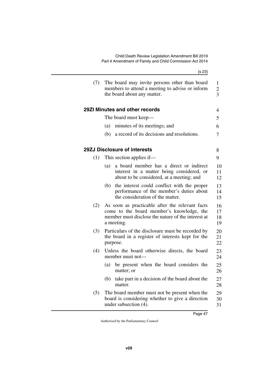<span id="page-48-3"></span><span id="page-48-2"></span><span id="page-48-1"></span><span id="page-48-0"></span>

|     | [s 23]                                                                                                                                                           |                          |
|-----|------------------------------------------------------------------------------------------------------------------------------------------------------------------|--------------------------|
| (7) | The board may invite persons other than board<br>members to attend a meeting to advise or inform<br>the board about any matter.                                  | 1<br>$\overline{c}$<br>3 |
|     | 29ZI Minutes and other records                                                                                                                                   | 4                        |
|     | The board must keep—                                                                                                                                             | 5                        |
|     | minutes of its meetings; and<br>(a)                                                                                                                              | 6                        |
|     | a record of its decisions and resolutions.<br>(b)                                                                                                                | 7                        |
|     | 29ZJ Disclosure of interests                                                                                                                                     | 8                        |
| (1) | This section applies if—                                                                                                                                         | 9                        |
|     | a board member has a direct or indirect<br>(a)<br>interest in a matter being considered, or<br>about to be considered, at a meeting; and                         | 10<br>11<br>12           |
|     | the interest could conflict with the proper<br>(b)<br>performance of the member's duties about<br>the consideration of the matter.                               | 13<br>14<br>15           |
| (2) | As soon as practicable after the relevant facts<br>come to the board member's knowledge, the<br>member must disclose the nature of the interest at<br>a meeting. | 16<br>17<br>18<br>19     |
| (3) | Particulars of the disclosure must be recorded by<br>the board in a register of interests kept for the<br>purpose.                                               | 20<br>21<br>22           |
| (4) | Unless the board otherwise directs, the board<br>member must not-                                                                                                | 23<br>24                 |
|     | (a) be present when the board considers the<br>matter; or                                                                                                        | 25<br>26                 |
|     | take part in a decision of the board about the<br>(b)<br>matter.                                                                                                 | 27<br>28                 |
| (5) | The board member must not be present when the<br>board is considering whether to give a direction<br>under subsection (4).                                       | 29<br>30<br>31           |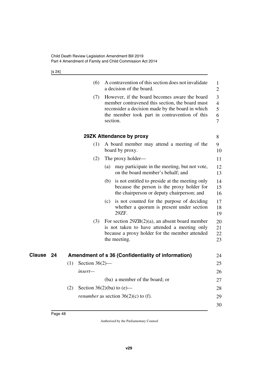[s 24]

<span id="page-49-1"></span><span id="page-49-0"></span>

|    |     | (6)               | A contravention of this section does not invalidate<br>a decision of the board.                                                                                                                                   | 1<br>$\overline{2}$                |
|----|-----|-------------------|-------------------------------------------------------------------------------------------------------------------------------------------------------------------------------------------------------------------|------------------------------------|
|    |     | (7)               | However, if the board becomes aware the board<br>member contravened this section, the board must<br>reconsider a decision made by the board in which<br>the member took part in contravention of this<br>section. | 3<br>$\overline{4}$<br>5<br>6<br>7 |
|    |     |                   | 29ZK Attendance by proxy                                                                                                                                                                                          | 8                                  |
|    |     | (1)               | A board member may attend a meeting of the<br>board by proxy.                                                                                                                                                     | 9<br>10                            |
|    |     | (2)               | The proxy holder—                                                                                                                                                                                                 | 11                                 |
|    |     |                   | may participate in the meeting, but not vote,<br>(a)<br>on the board member's behalf; and                                                                                                                         | 12<br>13                           |
|    |     |                   | is not entitled to preside at the meeting only<br>(b)<br>because the person is the proxy holder for<br>the chairperson or deputy chairperson; and                                                                 | 14<br>15<br>16                     |
|    |     |                   | is not counted for the purpose of deciding<br>(c)<br>whether a quorum is present under section<br>29ZF.                                                                                                           | 17<br>18<br>19                     |
|    |     | (3)               | For section $29ZB(2)(a)$ , an absent board member<br>is not taken to have attended a meeting only<br>because a proxy holder for the member attended<br>the meeting.                                               | 20<br>21<br>22<br>23               |
| 24 |     |                   | Amendment of s 36 (Confidentiality of information)                                                                                                                                                                | 24                                 |
|    | (1) | Section $36(2)$ — |                                                                                                                                                                                                                   | 25                                 |
|    |     | insert-           |                                                                                                                                                                                                                   | 26                                 |
|    |     |                   | (ba) a member of the board; or                                                                                                                                                                                    | 27                                 |
|    | (2) |                   | Section $36(2)(ba)$ to (e)—                                                                                                                                                                                       | 28                                 |
|    |     |                   | <i>renumber</i> as section $36(2)(c)$ to (f).                                                                                                                                                                     | 29                                 |
|    |     |                   |                                                                                                                                                                                                                   | 30                                 |

<span id="page-49-3"></span><span id="page-49-2"></span>**Clause** 24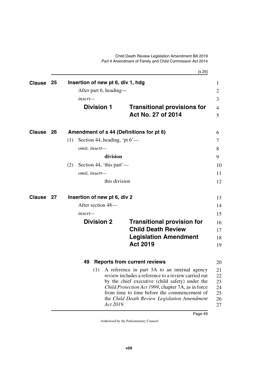<span id="page-50-7"></span>Child Death Review Legislation Amendment Bill 2019 Part 4 Amendment of Family and Child Commission Act 2014

<span id="page-50-9"></span><span id="page-50-8"></span><span id="page-50-6"></span><span id="page-50-5"></span><span id="page-50-4"></span><span id="page-50-3"></span><span id="page-50-2"></span><span id="page-50-1"></span><span id="page-50-0"></span>

|               |                                                 |                                        | [s 25]                                                                                                                                                                                                                                                                                                                            |                                        |  |  |  |
|---------------|-------------------------------------------------|----------------------------------------|-----------------------------------------------------------------------------------------------------------------------------------------------------------------------------------------------------------------------------------------------------------------------------------------------------------------------------------|----------------------------------------|--|--|--|
| <b>Clause</b> | 25                                              | Insertion of new pt 6, div 1, hdg      |                                                                                                                                                                                                                                                                                                                                   | $\mathbf{1}$                           |  |  |  |
|               |                                                 | After part 6, heading—                 |                                                                                                                                                                                                                                                                                                                                   | $\overline{2}$                         |  |  |  |
|               |                                                 | insert—                                |                                                                                                                                                                                                                                                                                                                                   | 3                                      |  |  |  |
|               |                                                 | <b>Division 1</b>                      | <b>Transitional provisions for</b><br>Act No. 27 of 2014                                                                                                                                                                                                                                                                          | $\overline{4}$<br>5                    |  |  |  |
| <b>Clause</b> | Amendment of s 44 (Definitions for pt 6)<br>-26 |                                        |                                                                                                                                                                                                                                                                                                                                   |                                        |  |  |  |
|               |                                                 | Section 44, heading, 'pt $6'$ —<br>(1) |                                                                                                                                                                                                                                                                                                                                   | 7                                      |  |  |  |
|               |                                                 | omit, insert-                          |                                                                                                                                                                                                                                                                                                                                   | 8                                      |  |  |  |
|               |                                                 |                                        | division                                                                                                                                                                                                                                                                                                                          | 9                                      |  |  |  |
|               |                                                 | Section 44, 'this part'—<br>(2)        |                                                                                                                                                                                                                                                                                                                                   | 10                                     |  |  |  |
|               |                                                 | omit, insert-                          |                                                                                                                                                                                                                                                                                                                                   | 11                                     |  |  |  |
|               |                                                 |                                        | this division                                                                                                                                                                                                                                                                                                                     | 12                                     |  |  |  |
| <b>Clause</b> | - 27                                            | Insertion of new pt 6, div 2           |                                                                                                                                                                                                                                                                                                                                   |                                        |  |  |  |
|               |                                                 | After section 48-                      |                                                                                                                                                                                                                                                                                                                                   | 14                                     |  |  |  |
|               |                                                 | insert—                                |                                                                                                                                                                                                                                                                                                                                   | 15                                     |  |  |  |
|               |                                                 | <b>Division 2</b>                      | <b>Transitional provision for</b>                                                                                                                                                                                                                                                                                                 | 16                                     |  |  |  |
|               |                                                 |                                        | <b>Child Death Review</b>                                                                                                                                                                                                                                                                                                         | 17                                     |  |  |  |
|               |                                                 |                                        | <b>Legislation Amendment</b>                                                                                                                                                                                                                                                                                                      | 18                                     |  |  |  |
|               |                                                 |                                        | <b>Act 2019</b>                                                                                                                                                                                                                                                                                                                   | 19                                     |  |  |  |
|               | 49<br><b>Reports from current reviews</b>       |                                        |                                                                                                                                                                                                                                                                                                                                   |                                        |  |  |  |
|               |                                                 | (1)                                    | A reference in part 3A to an internal agency<br>review includes a reference to a review carried out<br>by the chief executive (child safety) under the<br><i>Child Protection Act 1999</i> , chapter 7A, as in force<br>from time to time before the commencement of<br>the Child Death Review Legislation Amendment<br>Act 2019. | 21<br>22<br>23<br>24<br>25<br>26<br>27 |  |  |  |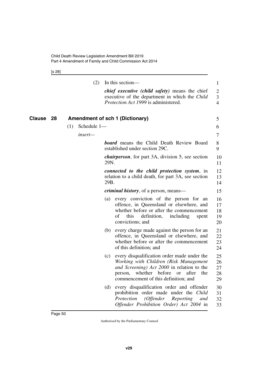<span id="page-51-1"></span>[s 28]

<span id="page-51-0"></span>

|        |    |     | (2)         |      | In this section—                                                                                                                                                                                                   | $\mathbf{1}$               |
|--------|----|-----|-------------|------|--------------------------------------------------------------------------------------------------------------------------------------------------------------------------------------------------------------------|----------------------------|
|        |    |     |             |      | <i>chief executive (child safety)</i> means the chief<br>executive of the department in which the <i>Child</i><br>Protection Act 1999 is administered.                                                             | 2<br>3<br>$\overline{4}$   |
| Clause | 28 |     |             |      | <b>Amendment of sch 1 (Dictionary)</b>                                                                                                                                                                             | 5                          |
|        |    | (1) | Schedule 1- |      |                                                                                                                                                                                                                    | 6                          |
|        |    |     | insert-     |      |                                                                                                                                                                                                                    | 7                          |
|        |    |     |             |      | <b>board</b> means the Child Death Review Board<br>established under section 29C.                                                                                                                                  | 8<br>9                     |
|        |    |     |             | 29N. | <i>chairperson</i> , for part 3A, division 5, see section                                                                                                                                                          | 10<br>11                   |
|        |    |     |             | 29B. | <i>connected to the child protection system, in</i><br>relation to a child death, for part 3A, see section                                                                                                         | 12<br>13<br>14             |
|        |    |     |             |      | <i>criminal history</i> , of a person, means—                                                                                                                                                                      | 15                         |
|        |    |     |             | (a)  | every conviction of the person for an<br>offence, in Queensland or elsewhere, and<br>whether before or after the commencement<br>definition,<br>of<br>this<br>including<br>spent<br>convictions; and               | 16<br>17<br>18<br>19<br>20 |
|        |    |     |             | (b)  | every charge made against the person for an<br>offence, in Queensland or elsewhere, and<br>whether before or after the commencement<br>of this definition; and                                                     | 21<br>22<br>23<br>24       |
|        |    |     |             | (c)  | every disqualification order made under the<br>Working with Children (Risk Management<br>and Screening) Act 2000 in relation to the<br>person, whether before or after the<br>commencement of this definition; and | 25<br>26<br>27<br>28<br>29 |
|        |    |     |             | (d)  | every disqualification order and offender<br>prohibition order made under the Child<br>Protection<br>(Offender Reporting)<br>and<br>Offender Prohibition Order) Act 2004 in                                        | 30<br>31<br>32<br>33       |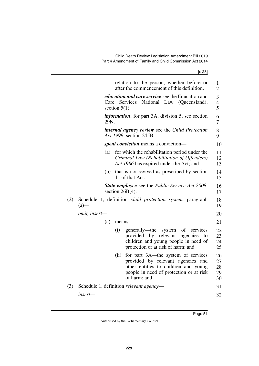|     |                                                                              |                                                                                      |                  | relation to the person, whether before or<br>after the commencement of this definition.                                                                                       | 1<br>$\overline{2}$        |  |  |
|-----|------------------------------------------------------------------------------|--------------------------------------------------------------------------------------|------------------|-------------------------------------------------------------------------------------------------------------------------------------------------------------------------------|----------------------------|--|--|
|     |                                                                              |                                                                                      | section $5(1)$ . | <i>education and care service</i> see the Education and<br>Care Services National Law (Queensland),                                                                           | 3<br>4<br>5                |  |  |
|     |                                                                              | <i>information</i> , for part 3A, division 5, see section<br>29N.                    |                  |                                                                                                                                                                               |                            |  |  |
|     |                                                                              | internal agency review see the Child Protection<br>8<br>Act 1999, section 245B.<br>9 |                  |                                                                                                                                                                               |                            |  |  |
|     |                                                                              | <i>spent conviction</i> means a conviction—<br>10                                    |                  |                                                                                                                                                                               |                            |  |  |
|     |                                                                              | (a)                                                                                  |                  | for which the rehabilitation period under the<br>Criminal Law (Rehabilitation of Offenders)<br>Act 1986 has expired under the Act; and                                        | 11<br>12<br>13             |  |  |
|     |                                                                              | (b)                                                                                  |                  | that is not revived as prescribed by section<br>11 of that Act.                                                                                                               | 14<br>15                   |  |  |
|     |                                                                              |                                                                                      |                  | State employee see the Public Service Act 2008,<br>section $26B(4)$ .                                                                                                         | 16<br>17                   |  |  |
| (2) | Schedule 1, definition <i>child protection system</i> , paragraph<br>$(a)$ — |                                                                                      |                  |                                                                                                                                                                               |                            |  |  |
|     | omit, insert-                                                                |                                                                                      |                  |                                                                                                                                                                               |                            |  |  |
|     |                                                                              | (a)                                                                                  | means-           |                                                                                                                                                                               | 21                         |  |  |
|     |                                                                              |                                                                                      | (i)              | generally—the<br>of<br>system<br>services<br>provided by relevant<br>agencies<br>to<br>children and young people in need of<br>protection or at risk of harm; and             | 22<br>23<br>24<br>25       |  |  |
|     |                                                                              |                                                                                      | (ii)             | for part 3A—the system of services<br>provided by relevant agencies<br>and<br>other entities to children and young<br>people in need of protection or at risk<br>of harm; and | 26<br>27<br>28<br>29<br>30 |  |  |
| (3) |                                                                              |                                                                                      |                  | Schedule 1, definition <i>relevant agency</i> —                                                                                                                               | 31                         |  |  |
|     | insert—                                                                      |                                                                                      |                  |                                                                                                                                                                               | 32                         |  |  |
|     |                                                                              |                                                                                      |                  |                                                                                                                                                                               |                            |  |  |